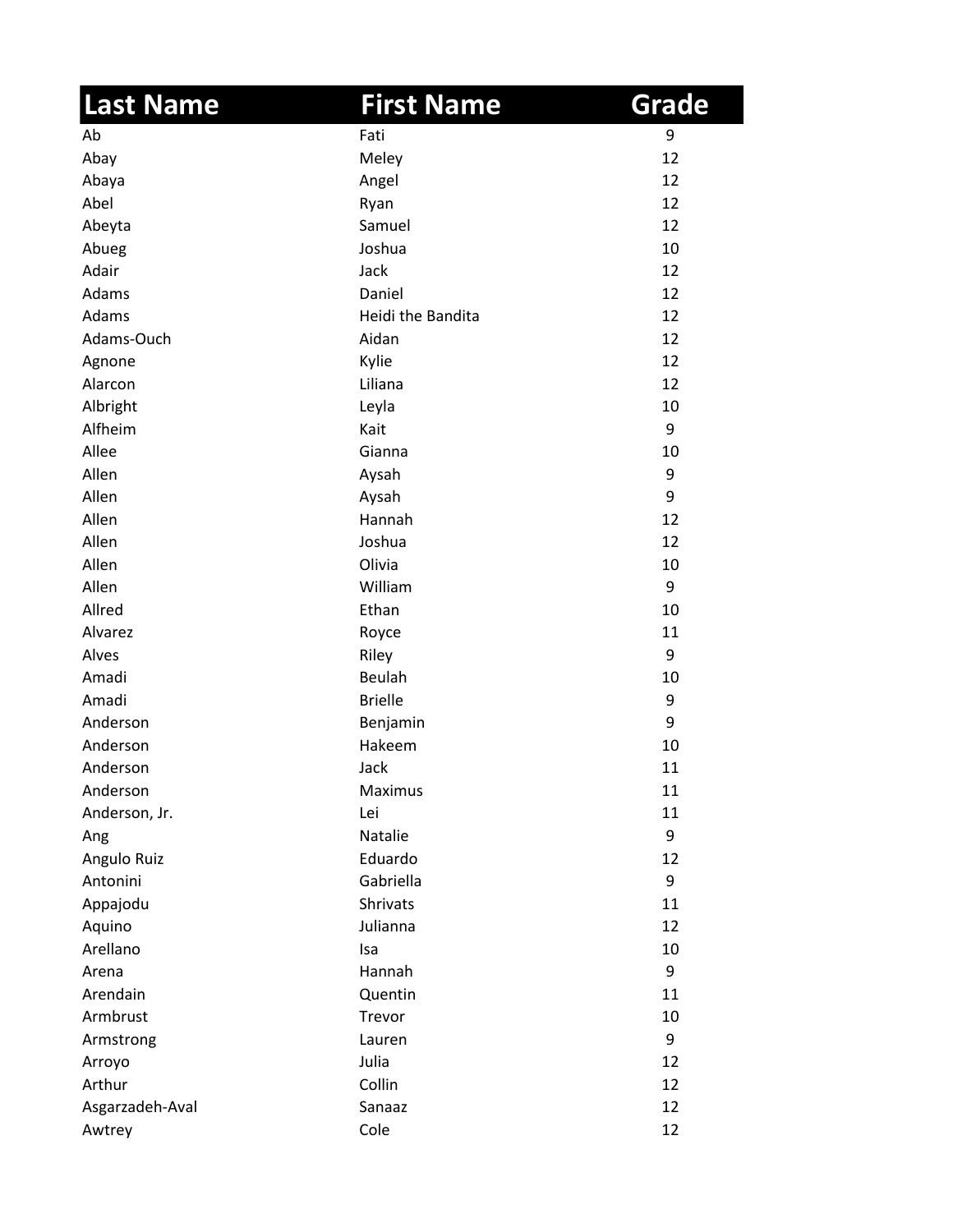| <b>Last Name</b> | <b>First Name</b> | Grade |
|------------------|-------------------|-------|
| Ab               | Fati              | 9     |
| Abay             | Meley             | 12    |
| Abaya            | Angel             | 12    |
| Abel             | Ryan              | 12    |
| Abeyta           | Samuel            | 12    |
| Abueg            | Joshua            | 10    |
| Adair            | Jack              | 12    |
| Adams            | Daniel            | 12    |
| Adams            | Heidi the Bandita | 12    |
| Adams-Ouch       | Aidan             | 12    |
| Agnone           | Kylie             | 12    |
| Alarcon          | Liliana           | 12    |
| Albright         | Leyla             | 10    |
| Alfheim          | Kait              | 9     |
| Allee            | Gianna            | 10    |
| Allen            | Aysah             | 9     |
| Allen            | Aysah             | 9     |
| Allen            | Hannah            | 12    |
| Allen            | Joshua            | 12    |
| Allen            | Olivia            | 10    |
| Allen            | William           | 9     |
| Allred           | Ethan             | 10    |
| Alvarez          | Royce             | 11    |
| Alves            | Riley             | 9     |
| Amadi            | Beulah            | 10    |
| Amadi            | <b>Brielle</b>    | 9     |
| Anderson         | Benjamin          | 9     |
| Anderson         | Hakeem            | 10    |
| Anderson         | Jack              | 11    |
| Anderson         | Maximus           | 11    |
| Anderson, Jr.    | Lei               | 11    |
| Ang              | Natalie           | 9     |
| Angulo Ruiz      | Eduardo           | 12    |
| Antonini         | Gabriella         | 9     |
| Appajodu         | <b>Shrivats</b>   | 11    |
| Aquino           | Julianna          | 12    |
| Arellano         | Isa               | 10    |
| Arena            | Hannah            | 9     |
| Arendain         | Quentin           | 11    |
| Armbrust         | Trevor            | 10    |
| Armstrong        | Lauren            | 9     |
| Arroyo           | Julia             | 12    |
| Arthur           | Collin            | 12    |
| Asgarzadeh-Aval  | Sanaaz            | 12    |
| Awtrey           | Cole              | 12    |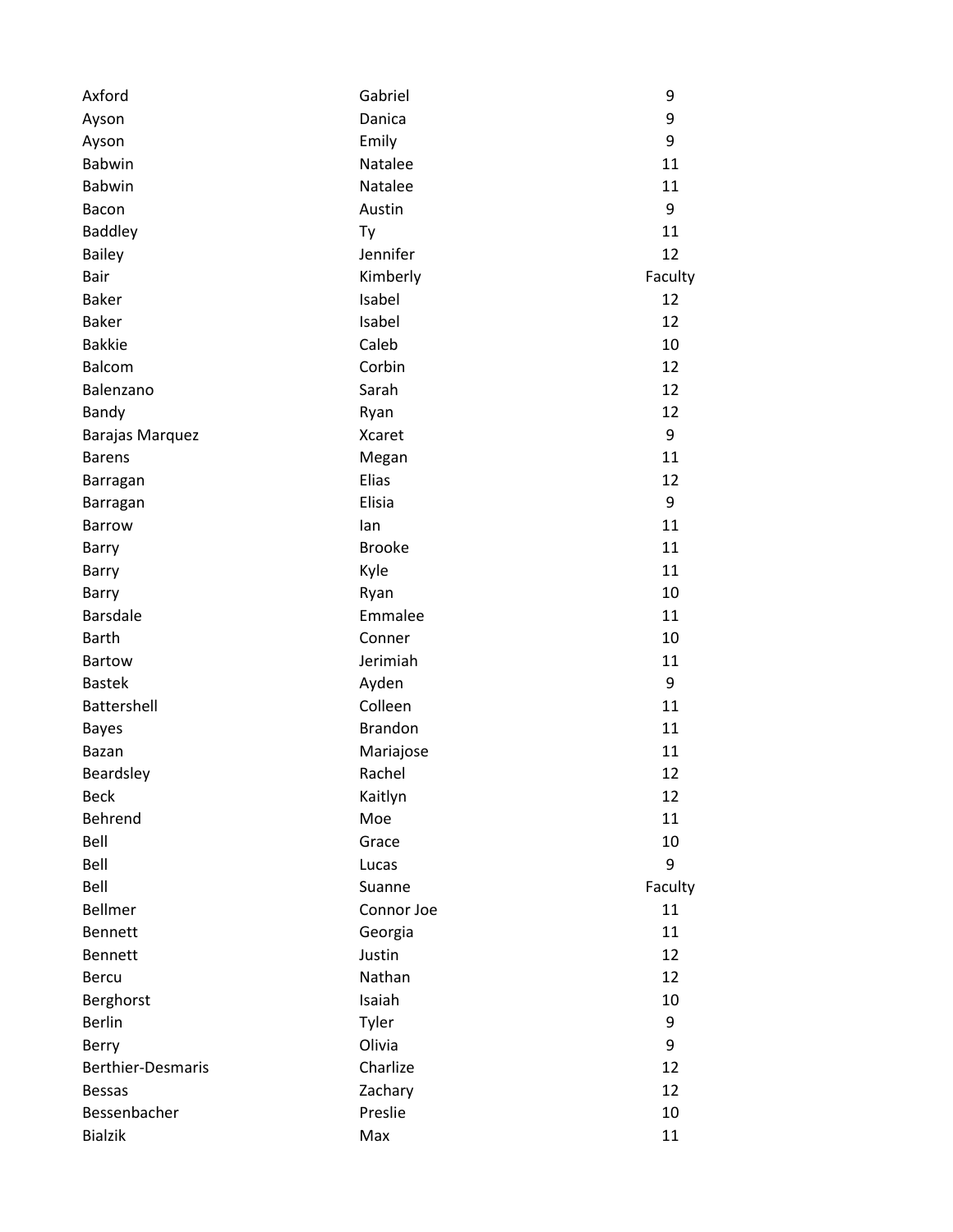| Axford                   | Gabriel        | 9       |
|--------------------------|----------------|---------|
| Ayson                    | Danica         | 9       |
| Ayson                    | Emily          | 9       |
| <b>Babwin</b>            | Natalee        | 11      |
| <b>Babwin</b>            | Natalee        | 11      |
| Bacon                    | Austin         | 9       |
| <b>Baddley</b>           | Ty             | 11      |
| <b>Bailey</b>            | Jennifer       | 12      |
| Bair                     | Kimberly       | Faculty |
| <b>Baker</b>             | Isabel         | 12      |
| <b>Baker</b>             | Isabel         | 12      |
| <b>Bakkie</b>            | Caleb          | 10      |
| <b>Balcom</b>            | Corbin         | 12      |
| Balenzano                | Sarah          | 12      |
| Bandy                    | Ryan           | 12      |
| <b>Barajas Marquez</b>   | <b>Xcaret</b>  | 9       |
| <b>Barens</b>            | Megan          | 11      |
| Barragan                 | Elias          | 12      |
| Barragan                 | Elisia         | 9       |
| <b>Barrow</b>            | lan            | 11      |
| Barry                    | <b>Brooke</b>  | 11      |
| Barry                    | Kyle           | 11      |
| Barry                    | Ryan           | 10      |
| <b>Barsdale</b>          | Emmalee        | 11      |
| <b>Barth</b>             | Conner         | 10      |
| <b>Bartow</b>            | Jerimiah       | 11      |
| <b>Bastek</b>            | Ayden          | 9       |
| Battershell              | Colleen        | 11      |
| <b>Bayes</b>             | <b>Brandon</b> | 11      |
| Bazan                    | Mariajose      | 11      |
| Beardsley                | Rachel         | 12      |
| <b>Beck</b>              | Kaitlyn        | 12      |
| Behrend                  | Moe            | 11      |
| Bell                     | Grace          | 10      |
| Bell                     | Lucas          | 9       |
| Bell                     | Suanne         | Faculty |
| <b>Bellmer</b>           | Connor Joe     | 11      |
| <b>Bennett</b>           | Georgia        | 11      |
| <b>Bennett</b>           | Justin         | 12      |
| <b>Bercu</b>             | Nathan         | 12      |
| Berghorst                | Isaiah         | 10      |
| <b>Berlin</b>            | Tyler          | 9       |
| Berry                    | Olivia         | 9       |
| <b>Berthier-Desmaris</b> | Charlize       | 12      |
| <b>Bessas</b>            | Zachary        | 12      |
| Bessenbacher             | Preslie        | 10      |
| <b>Bialzik</b>           | Max            | 11      |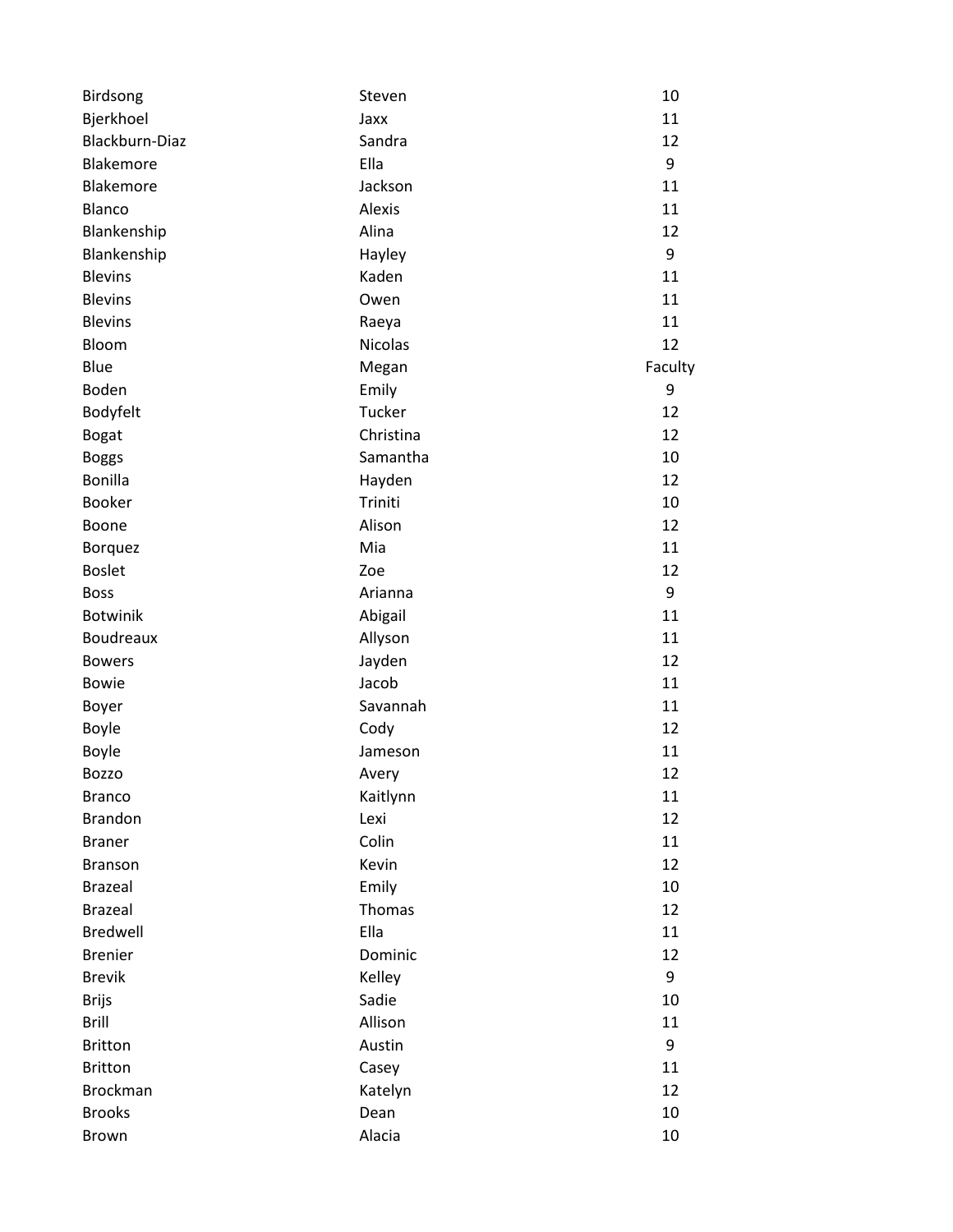| Birdsong        | Steven         | 10      |
|-----------------|----------------|---------|
| Bjerkhoel       | Jaxx           | 11      |
| Blackburn-Diaz  | Sandra         | 12      |
| Blakemore       | Ella           | 9       |
| Blakemore       | Jackson        | 11      |
| Blanco          | Alexis         | 11      |
| Blankenship     | Alina          | 12      |
| Blankenship     | Hayley         | 9       |
| <b>Blevins</b>  | Kaden          | 11      |
| <b>Blevins</b>  | Owen           | 11      |
| <b>Blevins</b>  | Raeya          | 11      |
| Bloom           | <b>Nicolas</b> | 12      |
| Blue            | Megan          | Faculty |
| Boden           | Emily          | 9       |
| Bodyfelt        | Tucker         | 12      |
| <b>Bogat</b>    | Christina      | 12      |
| <b>Boggs</b>    | Samantha       | 10      |
| <b>Bonilla</b>  | Hayden         | 12      |
| <b>Booker</b>   | Triniti        | 10      |
| Boone           | Alison         | 12      |
| <b>Borquez</b>  | Mia            | 11      |
| <b>Boslet</b>   | Zoe            | 12      |
| <b>Boss</b>     | Arianna        | 9       |
| <b>Botwinik</b> | Abigail        | 11      |
| Boudreaux       | Allyson        | 11      |
| <b>Bowers</b>   | Jayden         | 12      |
| <b>Bowie</b>    | Jacob          | 11      |
| Boyer           | Savannah       | 11      |
| <b>Boyle</b>    | Cody           | 12      |
| <b>Boyle</b>    | Jameson        | 11      |
| <b>Bozzo</b>    | Avery          | 12      |
| <b>Branco</b>   | Kaitlynn       | 11      |
| <b>Brandon</b>  | Lexi           | 12      |
| <b>Braner</b>   | Colin          | 11      |
| Branson         | Kevin          | 12      |
| <b>Brazeal</b>  | Emily          | 10      |
| <b>Brazeal</b>  | Thomas         | 12      |
| Bredwell        | Ella           | 11      |
| <b>Brenier</b>  | Dominic        | 12      |
| <b>Brevik</b>   | Kelley         | 9       |
| <b>Brijs</b>    | Sadie          | 10      |
| <b>Brill</b>    | Allison        | 11      |
| <b>Britton</b>  | Austin         | 9       |
| <b>Britton</b>  | Casey          | 11      |
| <b>Brockman</b> | Katelyn        | 12      |
| <b>Brooks</b>   | Dean           | 10      |
| Brown           | Alacia         | 10      |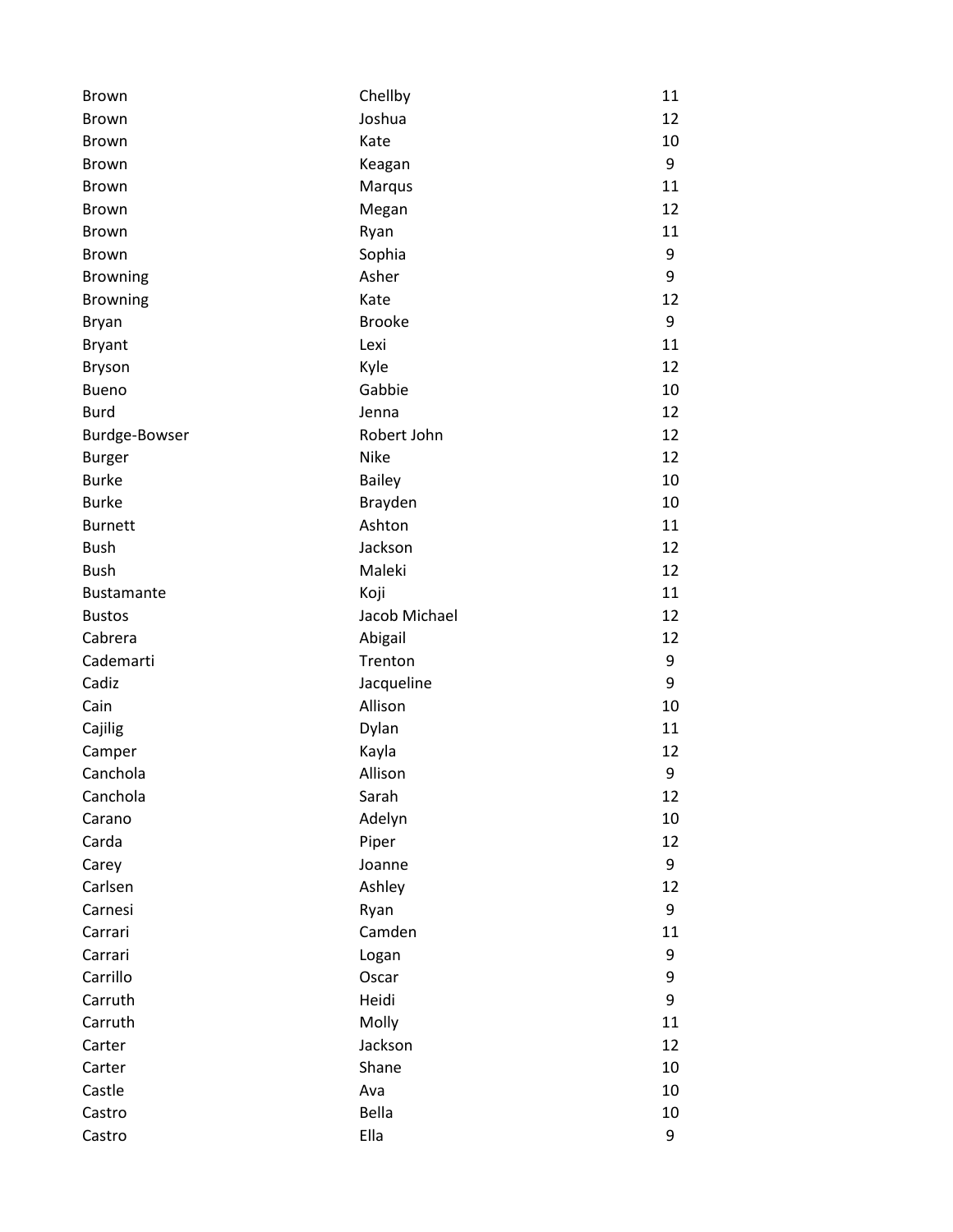| Brown             | Chellby       | 11 |
|-------------------|---------------|----|
| <b>Brown</b>      | Joshua        | 12 |
| <b>Brown</b>      | Kate          | 10 |
| <b>Brown</b>      | Keagan        | 9  |
| <b>Brown</b>      | Marqus        | 11 |
| <b>Brown</b>      | Megan         | 12 |
| <b>Brown</b>      | Ryan          | 11 |
| <b>Brown</b>      | Sophia        | 9  |
| <b>Browning</b>   | Asher         | 9  |
| <b>Browning</b>   | Kate          | 12 |
| <b>Bryan</b>      | <b>Brooke</b> | 9  |
| <b>Bryant</b>     | Lexi          | 11 |
| <b>Bryson</b>     | Kyle          | 12 |
| <b>Bueno</b>      | Gabbie        | 10 |
| <b>Burd</b>       | Jenna         | 12 |
| Burdge-Bowser     | Robert John   | 12 |
| <b>Burger</b>     | <b>Nike</b>   | 12 |
| <b>Burke</b>      | Bailey        | 10 |
| <b>Burke</b>      | Brayden       | 10 |
| <b>Burnett</b>    | Ashton        | 11 |
| <b>Bush</b>       | Jackson       | 12 |
| <b>Bush</b>       | Maleki        | 12 |
| <b>Bustamante</b> | Koji          | 11 |
| <b>Bustos</b>     | Jacob Michael | 12 |
| Cabrera           | Abigail       | 12 |
| Cademarti         | Trenton       | 9  |
| Cadiz             | Jacqueline    | 9  |
| Cain              | Allison       | 10 |
| Cajilig           | Dylan         | 11 |
| Camper            | Kayla         | 12 |
| Canchola          | Allison       | 9  |
| Canchola          | Sarah         | 12 |
| Carano            | Adelyn        | 10 |
| Carda             | Piper         | 12 |
| Carey             | Joanne        | 9  |
| Carlsen           | Ashley        | 12 |
| Carnesi           | Ryan          | 9  |
| Carrari           | Camden        | 11 |
| Carrari           | Logan         | 9  |
| Carrillo          | Oscar         | 9  |
| Carruth           | Heidi         | 9  |
| Carruth           | Molly         | 11 |
| Carter            | Jackson       | 12 |
| Carter            | Shane         | 10 |
| Castle            | Ava           | 10 |
| Castro            | Bella         | 10 |
| Castro            | Ella          | 9  |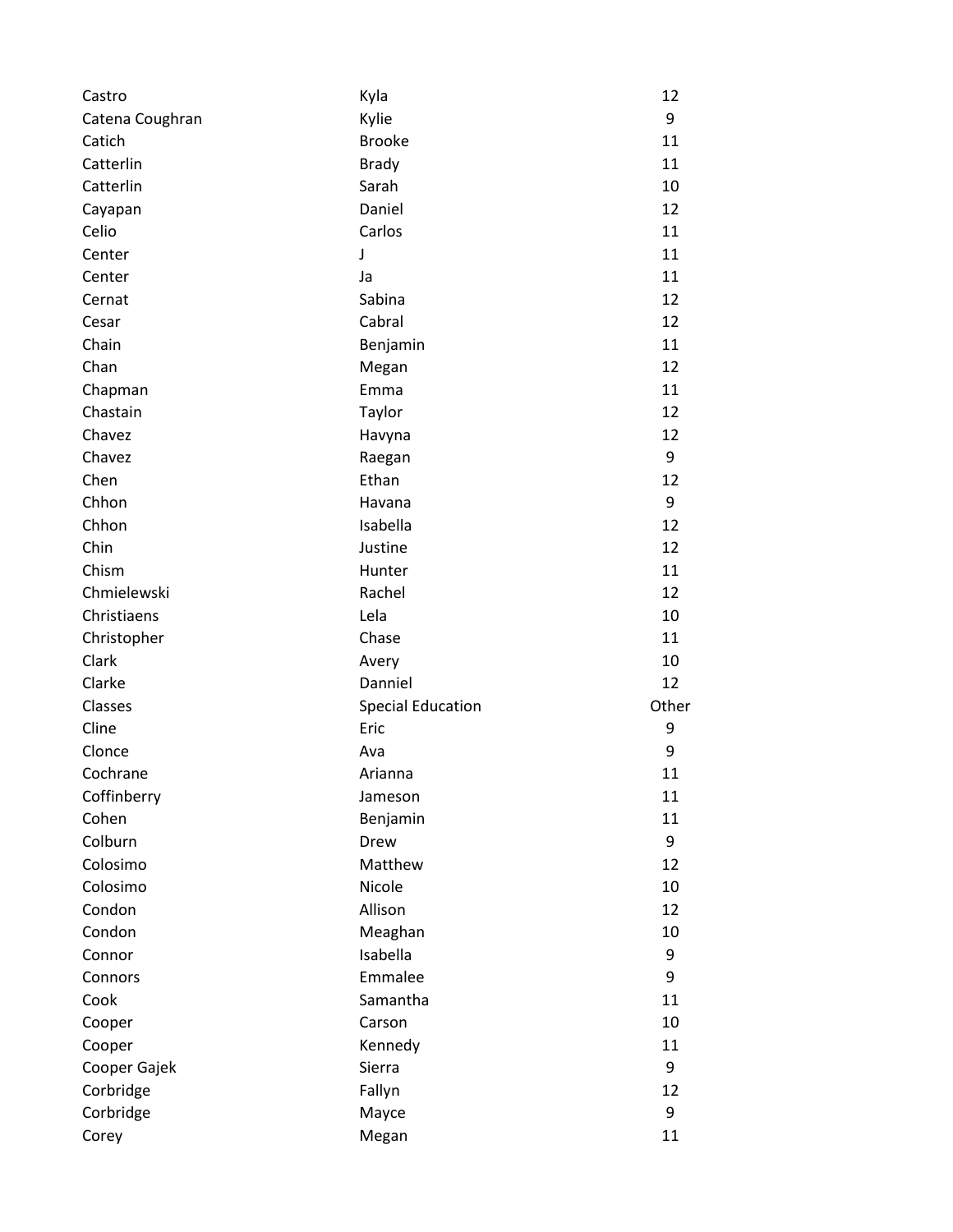| Castro          | Kyla                     | 12    |
|-----------------|--------------------------|-------|
| Catena Coughran | Kylie                    | 9     |
| Catich          | <b>Brooke</b>            | 11    |
| Catterlin       | <b>Brady</b>             | 11    |
| Catterlin       | Sarah                    | 10    |
| Cayapan         | Daniel                   | 12    |
| Celio           | Carlos                   | 11    |
| Center          | J                        | 11    |
| Center          | Ja                       | 11    |
| Cernat          | Sabina                   | 12    |
| Cesar           | Cabral                   | 12    |
| Chain           | Benjamin                 | 11    |
| Chan            | Megan                    | 12    |
| Chapman         | Emma                     | 11    |
| Chastain        | Taylor                   | 12    |
| Chavez          | Havyna                   | 12    |
| Chavez          | Raegan                   | 9     |
| Chen            | Ethan                    | 12    |
| Chhon           | Havana                   | 9     |
| Chhon           | Isabella                 | 12    |
| Chin            | Justine                  | 12    |
| Chism           | Hunter                   | 11    |
| Chmielewski     | Rachel                   | 12    |
| Christiaens     | Lela                     | 10    |
| Christopher     | Chase                    | 11    |
| Clark           | Avery                    | 10    |
| Clarke          | Danniel                  | 12    |
| Classes         | <b>Special Education</b> | Other |
| Cline           | Eric                     | 9     |
| Clonce          | Ava                      | 9     |
| Cochrane        | Arianna                  | 11    |
| Coffinberry     | Jameson                  | 11    |
| Cohen           | Benjamin                 | 11    |
| Colburn         | Drew                     | 9     |
| Colosimo        | Matthew                  | 12    |
| Colosimo        | Nicole                   | 10    |
| Condon          | Allison                  | 12    |
| Condon          | Meaghan                  | 10    |
| Connor          | Isabella                 | 9     |
| Connors         | Emmalee                  | 9     |
| Cook            | Samantha                 | 11    |
| Cooper          | Carson                   | 10    |
| Cooper          | Kennedy                  | 11    |
| Cooper Gajek    | Sierra                   | 9     |
| Corbridge       | Fallyn                   | 12    |
| Corbridge       | Mayce                    | 9     |
| Corey           | Megan                    | 11    |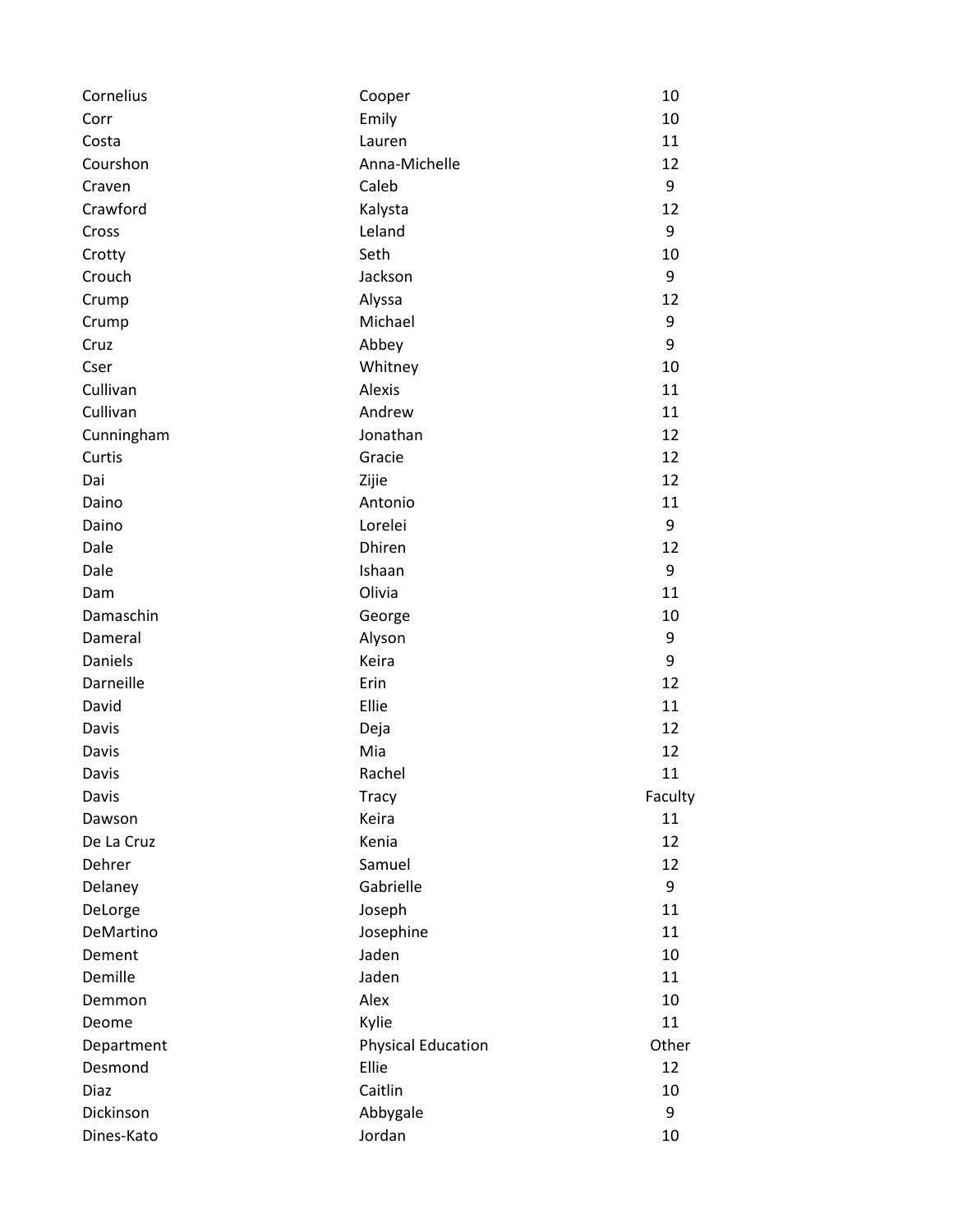| Cornelius  | Cooper                    | 10      |
|------------|---------------------------|---------|
| Corr       | Emily                     | 10      |
| Costa      | Lauren                    | 11      |
| Courshon   | Anna-Michelle             | 12      |
| Craven     | Caleb                     | 9       |
| Crawford   | Kalysta                   | 12      |
| Cross      | Leland                    | 9       |
| Crotty     | Seth                      | 10      |
| Crouch     | Jackson                   | 9       |
| Crump      | Alyssa                    | 12      |
| Crump      | Michael                   | 9       |
| Cruz       | Abbey                     | 9       |
| Cser       | Whitney                   | 10      |
| Cullivan   | <b>Alexis</b>             | 11      |
| Cullivan   | Andrew                    | 11      |
| Cunningham | Jonathan                  | 12      |
| Curtis     | Gracie                    | 12      |
| Dai        | Zijie                     | 12      |
| Daino      | Antonio                   | 11      |
| Daino      | Lorelei                   | 9       |
| Dale       | Dhiren                    | 12      |
| Dale       | Ishaan                    | 9       |
| Dam        | Olivia                    | 11      |
| Damaschin  | George                    | 10      |
| Dameral    | Alyson                    | 9       |
| Daniels    | Keira                     | 9       |
| Darneille  | Erin                      | 12      |
| David      | Ellie                     | 11      |
| Davis      | Deja                      | 12      |
| Davis      | Mia                       | 12      |
| Davis      | Rachel                    | 11      |
| Davis      | <b>Tracy</b>              | Faculty |
| Dawson     | Keira                     | 11      |
| De La Cruz | Kenia                     | 12      |
| Dehrer     | Samuel                    | 12      |
| Delaney    | Gabrielle                 | 9       |
| DeLorge    | Joseph                    | 11      |
| DeMartino  | Josephine                 | 11      |
| Dement     | Jaden                     | 10      |
| Demille    | Jaden                     | 11      |
| Demmon     | Alex                      | 10      |
| Deome      | Kylie                     | 11      |
| Department | <b>Physical Education</b> | Other   |
| Desmond    | Ellie                     | 12      |
| Diaz       | Caitlin                   | 10      |
| Dickinson  | Abbygale                  | 9       |
| Dines-Kato | Jordan                    | 10      |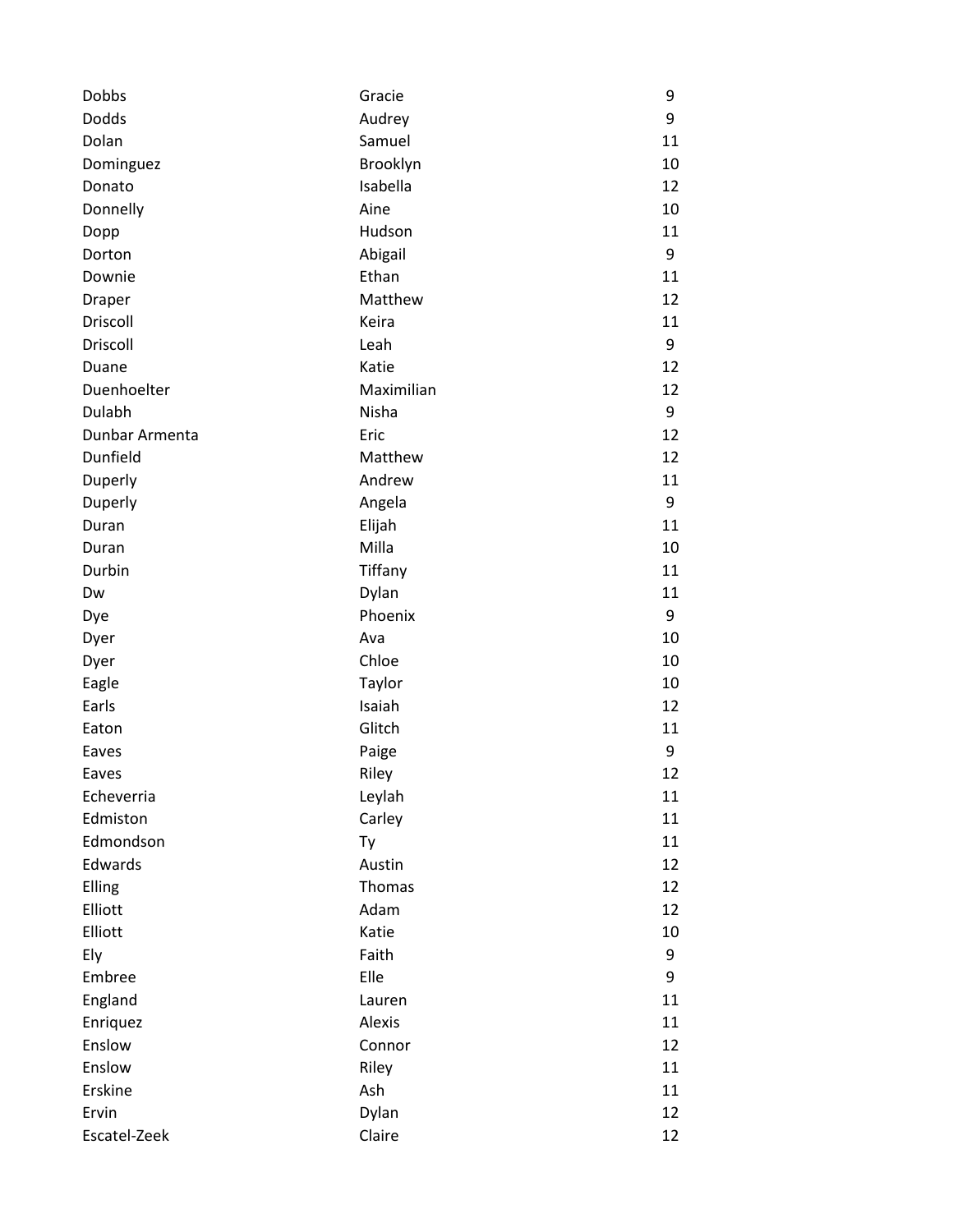| Dobbs          | Gracie     | 9  |
|----------------|------------|----|
| <b>Dodds</b>   | Audrey     | 9  |
| Dolan          | Samuel     | 11 |
| Dominguez      | Brooklyn   | 10 |
| Donato         | Isabella   | 12 |
| Donnelly       | Aine       | 10 |
| Dopp           | Hudson     | 11 |
| Dorton         | Abigail    | 9  |
| Downie         | Ethan      | 11 |
| Draper         | Matthew    | 12 |
| Driscoll       | Keira      | 11 |
| Driscoll       | Leah       | 9  |
| Duane          | Katie      | 12 |
| Duenhoelter    | Maximilian | 12 |
| Dulabh         | Nisha      | 9  |
| Dunbar Armenta | Eric       | 12 |
| Dunfield       | Matthew    | 12 |
| Duperly        | Andrew     | 11 |
| Duperly        | Angela     | 9  |
| Duran          | Elijah     | 11 |
| Duran          | Milla      | 10 |
| Durbin         | Tiffany    | 11 |
| Dw             | Dylan      | 11 |
| Dye            | Phoenix    | 9  |
| Dyer           | Ava        | 10 |
| Dyer           | Chloe      | 10 |
| Eagle          | Taylor     | 10 |
| Earls          | Isaiah     | 12 |
| Eaton          | Glitch     | 11 |
| Eaves          | Paige      | 9  |
| Eaves          | Riley      | 12 |
| Echeverria     | Leylah     | 11 |
| Edmiston       | Carley     | 11 |
| Edmondson      | Ty         | 11 |
| Edwards        | Austin     | 12 |
| Elling         | Thomas     | 12 |
| Elliott        | Adam       | 12 |
| Elliott        | Katie      | 10 |
| Ely            | Faith      | 9  |
| Embree         | Elle       | 9  |
| England        | Lauren     | 11 |
| Enriquez       | Alexis     | 11 |
| Enslow         | Connor     | 12 |
| Enslow         | Riley      | 11 |
| Erskine        | Ash        | 11 |
| Ervin          | Dylan      | 12 |
| Escatel-Zeek   | Claire     | 12 |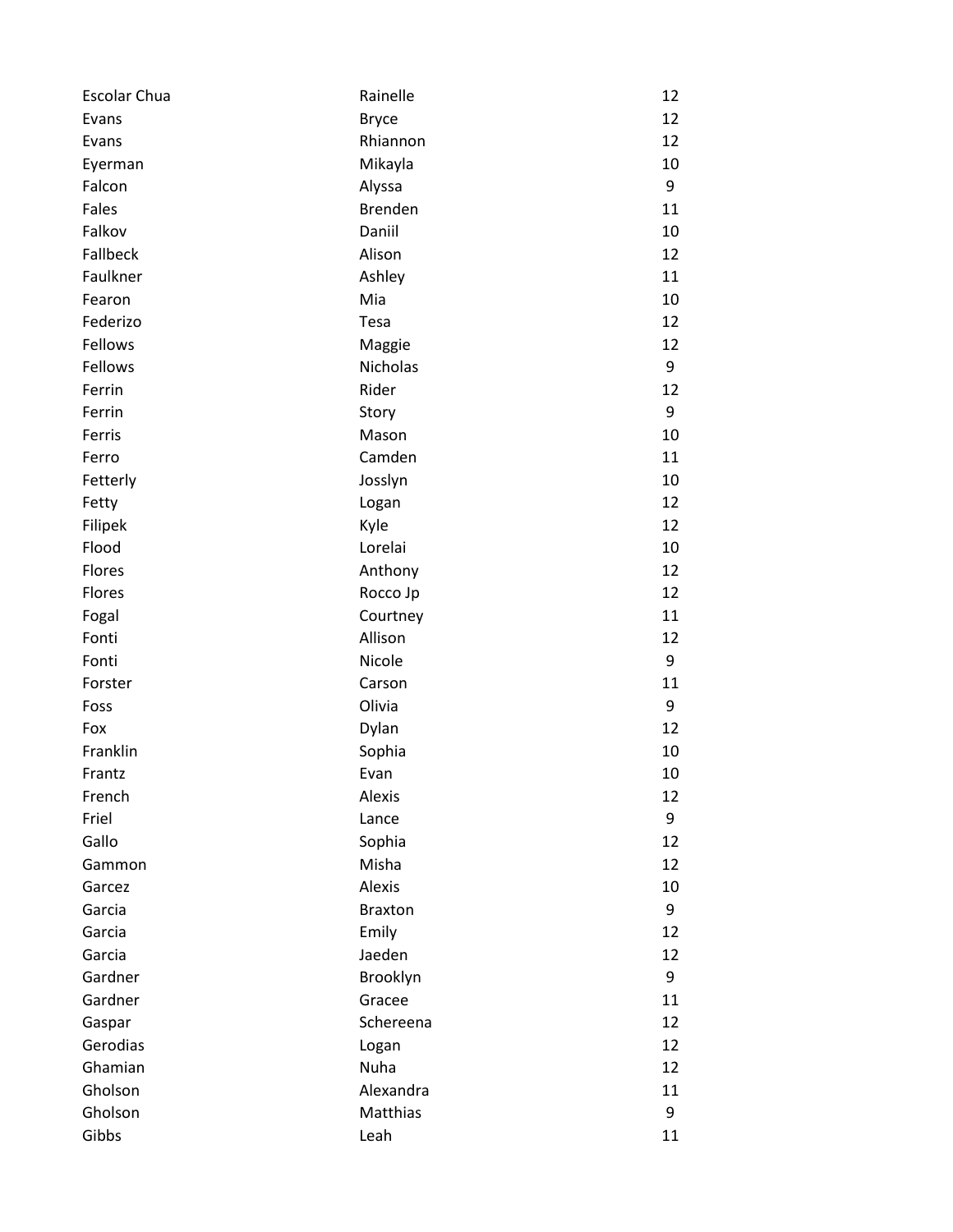| Escolar Chua | Rainelle       | 12 |
|--------------|----------------|----|
| Evans        | <b>Bryce</b>   | 12 |
| Evans        | Rhiannon       | 12 |
| Eyerman      | Mikayla        | 10 |
| Falcon       | Alyssa         | 9  |
| Fales        | <b>Brenden</b> | 11 |
| Falkov       | Daniil         | 10 |
| Fallbeck     | Alison         | 12 |
| Faulkner     | Ashley         | 11 |
| Fearon       | Mia            | 10 |
| Federizo     | Tesa           | 12 |
| Fellows      | Maggie         | 12 |
| Fellows      | Nicholas       | 9  |
| Ferrin       | Rider          | 12 |
| Ferrin       | Story          | 9  |
| Ferris       | Mason          | 10 |
| Ferro        | Camden         | 11 |
| Fetterly     | Josslyn        | 10 |
| Fetty        | Logan          | 12 |
| Filipek      | Kyle           | 12 |
| Flood        | Lorelai        | 10 |
| Flores       | Anthony        | 12 |
| Flores       | Rocco Jp       | 12 |
| Fogal        | Courtney       | 11 |
| Fonti        | Allison        | 12 |
| Fonti        | Nicole         | 9  |
| Forster      | Carson         | 11 |
| Foss         | Olivia         | 9  |
| Fox          | Dylan          | 12 |
| Franklin     | Sophia         | 10 |
| Frantz       | Evan           | 10 |
| French       | Alexis         | 12 |
| Friel        | Lance          | 9  |
| Gallo        | Sophia         | 12 |
| Gammon       | Misha          | 12 |
| Garcez       | Alexis         | 10 |
| Garcia       | <b>Braxton</b> | 9  |
| Garcia       | Emily          | 12 |
| Garcia       | Jaeden         | 12 |
| Gardner      | Brooklyn       | 9  |
| Gardner      | Gracee         | 11 |
| Gaspar       | Schereena      | 12 |
| Gerodias     | Logan          | 12 |
| Ghamian      | Nuha           | 12 |
| Gholson      | Alexandra      | 11 |
| Gholson      | Matthias       | 9  |
| Gibbs        | Leah           | 11 |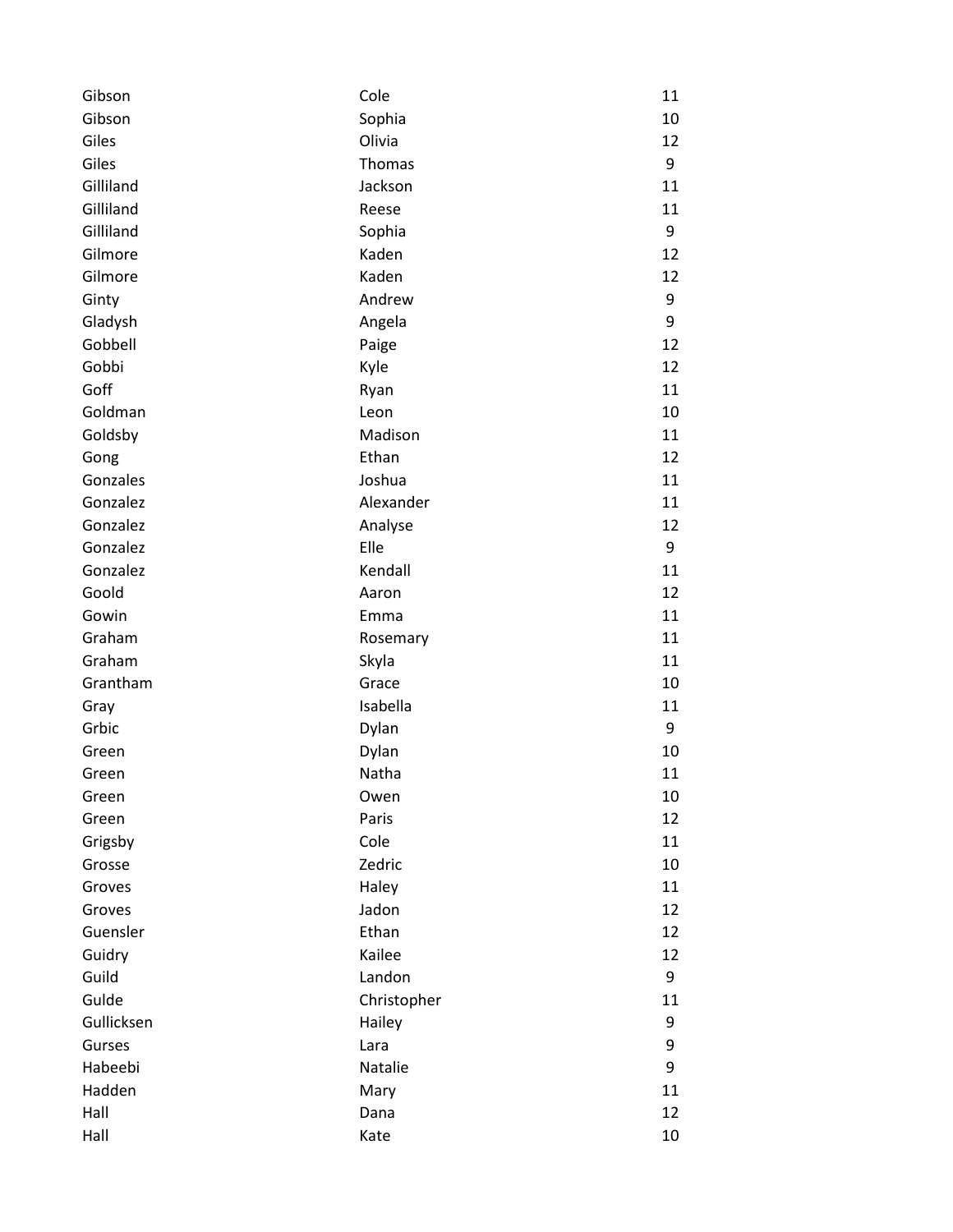| Gibson     | Cole        | 11 |
|------------|-------------|----|
| Gibson     | Sophia      | 10 |
| Giles      | Olivia      | 12 |
| Giles      | Thomas      | 9  |
| Gilliland  | Jackson     | 11 |
| Gilliland  | Reese       | 11 |
| Gilliland  | Sophia      | 9  |
| Gilmore    | Kaden       | 12 |
| Gilmore    | Kaden       | 12 |
| Ginty      | Andrew      | 9  |
| Gladysh    | Angela      | 9  |
| Gobbell    | Paige       | 12 |
| Gobbi      | Kyle        | 12 |
| Goff       | Ryan        | 11 |
| Goldman    | Leon        | 10 |
| Goldsby    | Madison     | 11 |
| Gong       | Ethan       | 12 |
| Gonzales   | Joshua      | 11 |
| Gonzalez   | Alexander   | 11 |
| Gonzalez   | Analyse     | 12 |
| Gonzalez   | Elle        | 9  |
| Gonzalez   | Kendall     | 11 |
| Goold      | Aaron       | 12 |
| Gowin      | Emma        | 11 |
| Graham     | Rosemary    | 11 |
| Graham     | Skyla       | 11 |
| Grantham   | Grace       | 10 |
| Gray       | Isabella    | 11 |
| Grbic      | Dylan       | 9  |
| Green      | Dylan       | 10 |
| Green      | Natha       | 11 |
| Green      | Owen        | 10 |
| Green      | Paris       | 12 |
| Grigsby    | Cole        | 11 |
| Grosse     | Zedric      | 10 |
| Groves     | Haley       | 11 |
| Groves     | Jadon       | 12 |
| Guensler   | Ethan       | 12 |
| Guidry     | Kailee      | 12 |
| Guild      | Landon      | 9  |
| Gulde      | Christopher | 11 |
| Gullicksen | Hailey      | 9  |
| Gurses     | Lara        | 9  |
| Habeebi    | Natalie     | 9  |
| Hadden     | Mary        | 11 |
| Hall       | Dana        | 12 |
| Hall       | Kate        | 10 |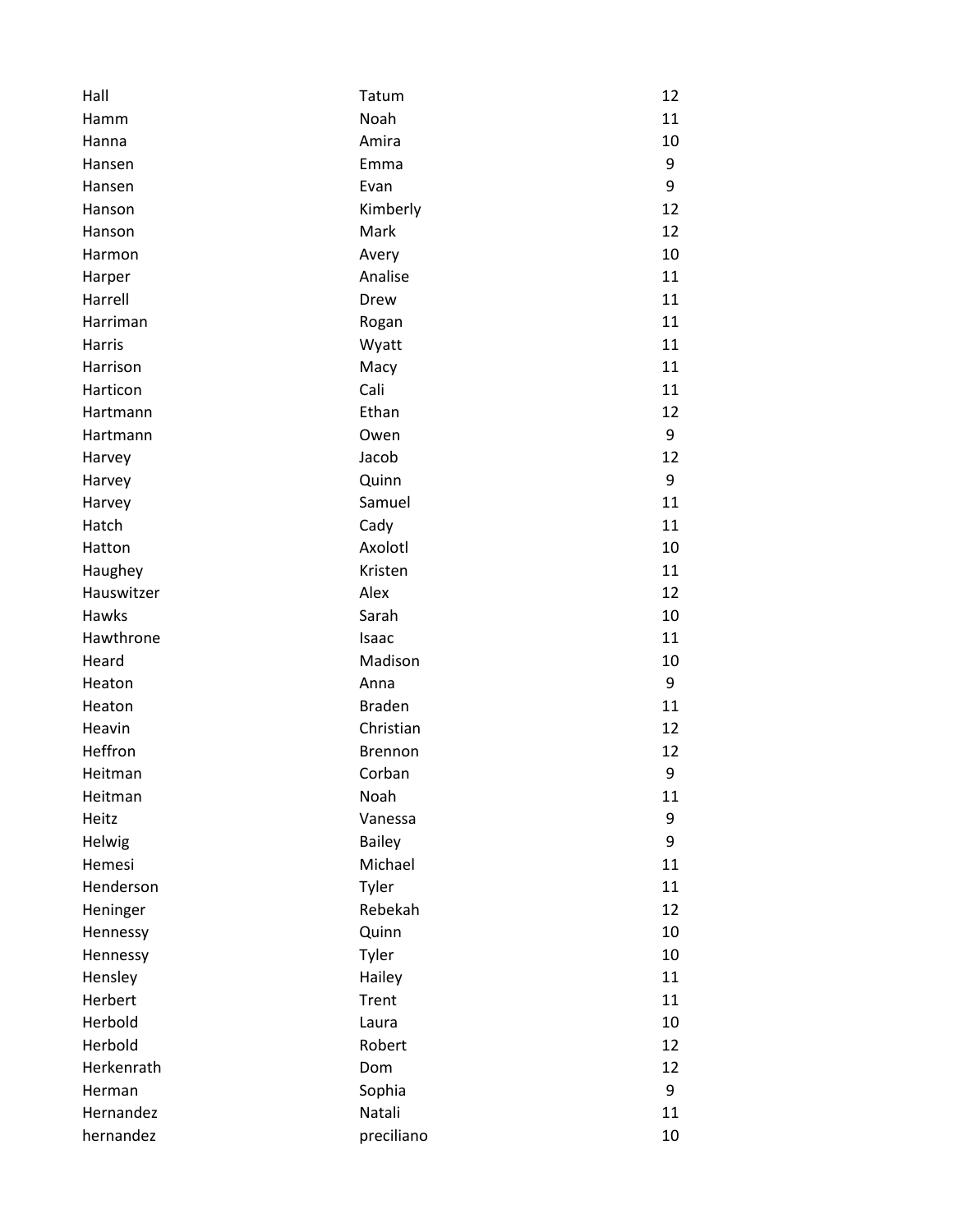| Hall       | Tatum          | 12 |
|------------|----------------|----|
| Hamm       | Noah           | 11 |
| Hanna      | Amira          | 10 |
| Hansen     | Emma           | 9  |
| Hansen     | Evan           | 9  |
| Hanson     | Kimberly       | 12 |
| Hanson     | Mark           | 12 |
| Harmon     | Avery          | 10 |
| Harper     | Analise        | 11 |
| Harrell    | Drew           | 11 |
| Harriman   | Rogan          | 11 |
| Harris     | Wyatt          | 11 |
| Harrison   | Macy           | 11 |
| Harticon   | Cali           | 11 |
| Hartmann   | Ethan          | 12 |
| Hartmann   | Owen           | 9  |
| Harvey     | Jacob          | 12 |
| Harvey     | Quinn          | 9  |
| Harvey     | Samuel         | 11 |
| Hatch      | Cady           | 11 |
| Hatton     | Axolotl        | 10 |
| Haughey    | Kristen        | 11 |
| Hauswitzer | Alex           | 12 |
| Hawks      | Sarah          | 10 |
| Hawthrone  | Isaac          | 11 |
| Heard      | Madison        | 10 |
| Heaton     | Anna           | 9  |
| Heaton     | <b>Braden</b>  | 11 |
| Heavin     | Christian      | 12 |
| Heffron    | <b>Brennon</b> | 12 |
| Heitman    | Corban         | 9  |
| Heitman    | Noah           | 11 |
| Heitz      | Vanessa        | 9  |
| Helwig     | <b>Bailey</b>  | 9  |
| Hemesi     | Michael        | 11 |
| Henderson  | Tyler          | 11 |
| Heninger   | Rebekah        | 12 |
| Hennessy   | Quinn          | 10 |
| Hennessy   | Tyler          | 10 |
| Hensley    | Hailey         | 11 |
| Herbert    | Trent          | 11 |
| Herbold    | Laura          | 10 |
| Herbold    | Robert         | 12 |
| Herkenrath | Dom            | 12 |
| Herman     | Sophia         | 9  |
| Hernandez  | Natali         | 11 |
| hernandez  | preciliano     | 10 |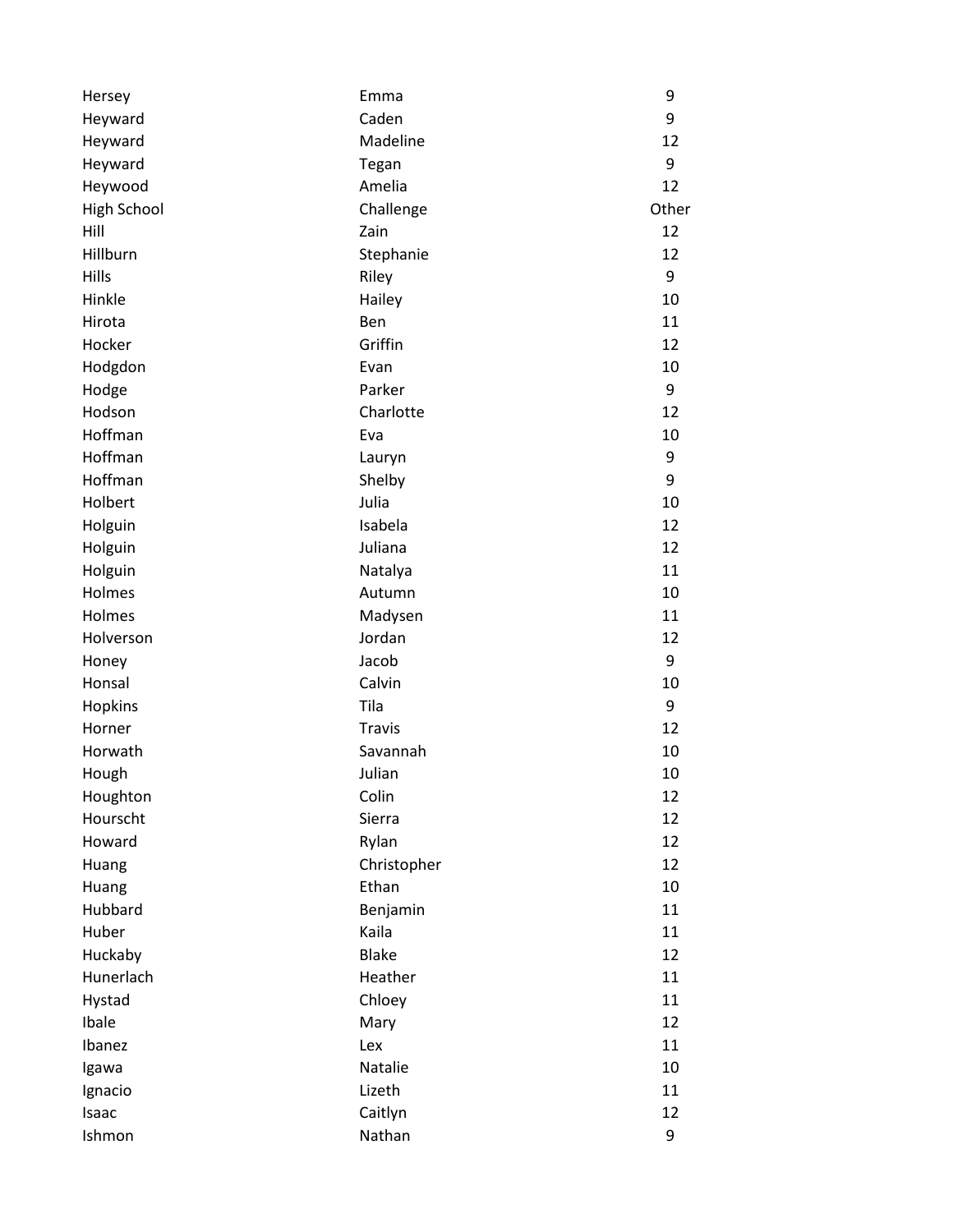| Hersey             | Emma          | 9     |
|--------------------|---------------|-------|
| Heyward            | Caden         | 9     |
| Heyward            | Madeline      | 12    |
| Heyward            | Tegan         | 9     |
| Heywood            | Amelia        | 12    |
| <b>High School</b> | Challenge     | Other |
| Hill               | Zain          | 12    |
| Hillburn           | Stephanie     | 12    |
| Hills              | Riley         | 9     |
| Hinkle             | Hailey        | 10    |
| Hirota             | Ben           | 11    |
| Hocker             | Griffin       | 12    |
| Hodgdon            | Evan          | 10    |
| Hodge              | Parker        | 9     |
| Hodson             | Charlotte     | 12    |
| Hoffman            | Eva           | 10    |
| Hoffman            | Lauryn        | 9     |
| Hoffman            | Shelby        | 9     |
| Holbert            | Julia         | 10    |
| Holguin            | Isabela       | 12    |
| Holguin            | Juliana       | 12    |
| Holguin            | Natalya       | 11    |
| Holmes             | Autumn        | 10    |
| Holmes             | Madysen       | 11    |
| Holverson          | Jordan        | 12    |
| Honey              | Jacob         | 9     |
| Honsal             | Calvin        | 10    |
| Hopkins            | Tila          | 9     |
| Horner             | <b>Travis</b> | 12    |
| Horwath            | Savannah      | 10    |
| Hough              | Julian        | 10    |
| Houghton           | Colin         | 12    |
| Hourscht           | Sierra        | 12    |
| Howard             | Rylan         | 12    |
| Huang              | Christopher   | 12    |
| Huang              | Ethan         | 10    |
| Hubbard            | Benjamin      | 11    |
| Huber              | Kaila         | 11    |
| Huckaby            | <b>Blake</b>  | 12    |
| Hunerlach          | Heather       | 11    |
| Hystad             | Chloey        | 11    |
| Ibale              | Mary          | 12    |
| Ibanez             | Lex           | 11    |
| Igawa              | Natalie       | 10    |
| Ignacio            | Lizeth        | 11    |
| Isaac              | Caitlyn       | 12    |
| Ishmon             | Nathan        | 9     |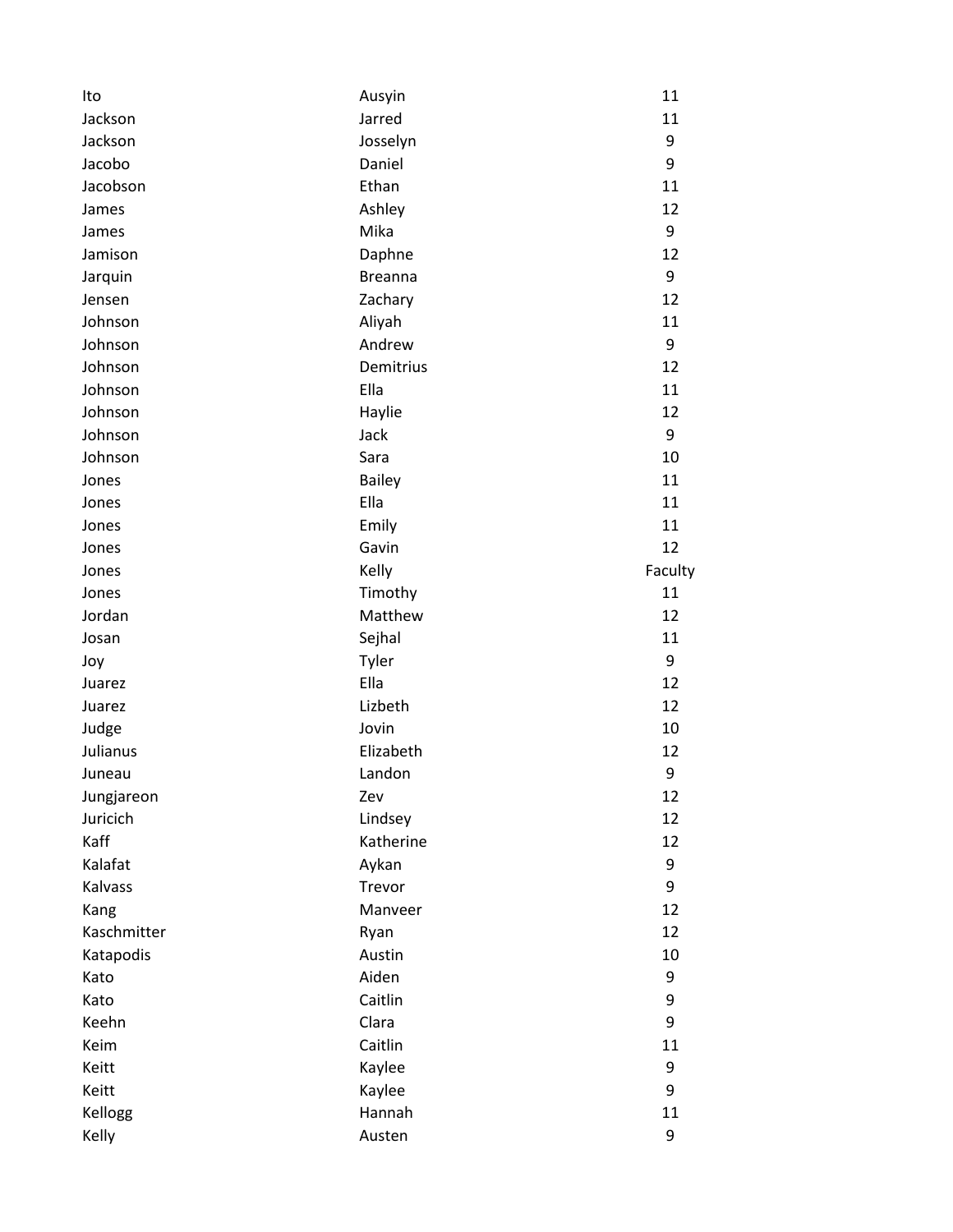| Ito         | Ausyin         | 11      |
|-------------|----------------|---------|
| Jackson     | Jarred         | 11      |
| Jackson     | Josselyn       | 9       |
| Jacobo      | Daniel         | 9       |
| Jacobson    | Ethan          | 11      |
| James       | Ashley         | 12      |
| James       | Mika           | 9       |
| Jamison     | Daphne         | 12      |
| Jarquin     | <b>Breanna</b> | 9       |
| Jensen      | Zachary        | 12      |
| Johnson     | Aliyah         | 11      |
| Johnson     | Andrew         | 9       |
| Johnson     | Demitrius      | 12      |
| Johnson     | Ella           | 11      |
| Johnson     | Haylie         | 12      |
| Johnson     | Jack           | 9       |
| Johnson     | Sara           | 10      |
| Jones       | <b>Bailey</b>  | 11      |
| Jones       | Ella           | 11      |
| Jones       | Emily          | 11      |
| Jones       | Gavin          | 12      |
| Jones       | Kelly          | Faculty |
| Jones       | Timothy        | 11      |
| Jordan      | Matthew        | 12      |
| Josan       | Sejhal         | 11      |
| Joy         | Tyler          | 9       |
| Juarez      | Ella           | 12      |
| Juarez      | Lizbeth        | 12      |
| Judge       | Jovin          | 10      |
| Julianus    | Elizabeth      | 12      |
| Juneau      | Landon         | 9       |
| Jungjareon  | Zev            | 12      |
| Juricich    | Lindsey        | 12      |
| Kaff        | Katherine      | 12      |
| Kalafat     | Aykan          | 9       |
| Kalvass     | Trevor         | 9       |
| Kang        | Manveer        | 12      |
| Kaschmitter | Ryan           | 12      |
| Katapodis   | Austin         | 10      |
| Kato        | Aiden          | 9       |
| Kato        | Caitlin        | 9       |
| Keehn       | Clara          | 9       |
| Keim        | Caitlin        | 11      |
| Keitt       | Kaylee         | 9       |
| Keitt       | Kaylee         | 9       |
| Kellogg     | Hannah         | 11      |
| Kelly       | Austen         | 9       |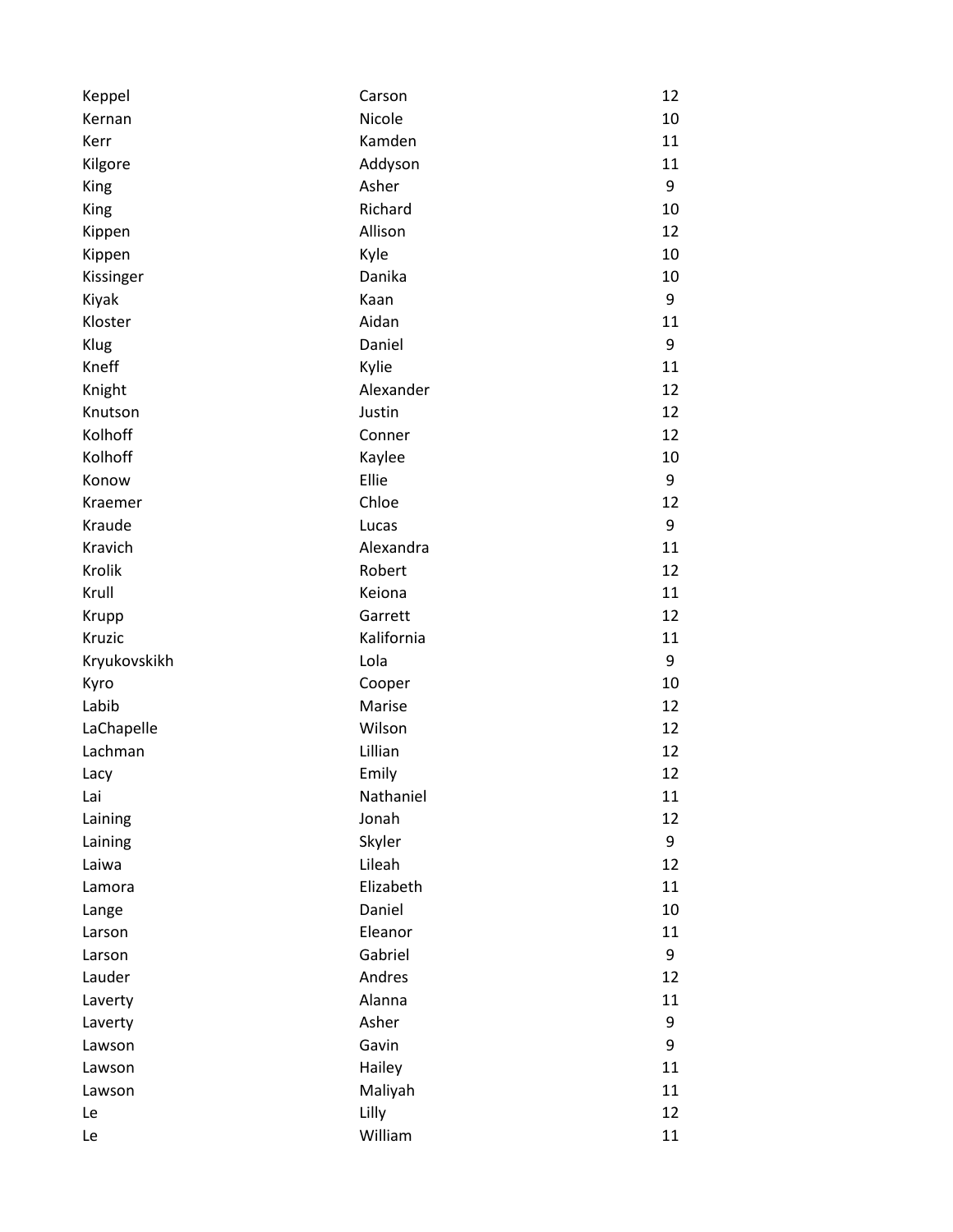| Keppel       | Carson     | 12 |
|--------------|------------|----|
| Kernan       | Nicole     | 10 |
| Kerr         | Kamden     | 11 |
| Kilgore      | Addyson    | 11 |
| King         | Asher      | 9  |
| King         | Richard    | 10 |
| Kippen       | Allison    | 12 |
| Kippen       | Kyle       | 10 |
| Kissinger    | Danika     | 10 |
| Kiyak        | Kaan       | 9  |
| Kloster      | Aidan      | 11 |
| Klug         | Daniel     | 9  |
| Kneff        | Kylie      | 11 |
| Knight       | Alexander  | 12 |
| Knutson      | Justin     | 12 |
| Kolhoff      | Conner     | 12 |
| Kolhoff      | Kaylee     | 10 |
| Konow        | Ellie      | 9  |
| Kraemer      | Chloe      | 12 |
| Kraude       | Lucas      | 9  |
| Kravich      | Alexandra  | 11 |
| Krolik       | Robert     | 12 |
| Krull        | Keiona     | 11 |
| Krupp        | Garrett    | 12 |
| Kruzic       | Kalifornia | 11 |
| Kryukovskikh | Lola       | 9  |
| Kyro         | Cooper     | 10 |
| Labib        | Marise     | 12 |
| LaChapelle   | Wilson     | 12 |
| Lachman      | Lillian    | 12 |
| Lacy         | Emily      | 12 |
| Lai          | Nathaniel  | 11 |
| Laining      | Jonah      | 12 |
| Laining      | Skyler     | 9  |
| Laiwa        | Lileah     | 12 |
| Lamora       | Elizabeth  | 11 |
| Lange        | Daniel     | 10 |
| Larson       | Eleanor    | 11 |
| Larson       | Gabriel    | 9  |
| Lauder       | Andres     | 12 |
| Laverty      | Alanna     | 11 |
| Laverty      | Asher      | 9  |
| Lawson       | Gavin      | 9  |
| Lawson       | Hailey     | 11 |
| Lawson       | Maliyah    | 11 |
| Le           | Lilly      | 12 |
| Le           | William    | 11 |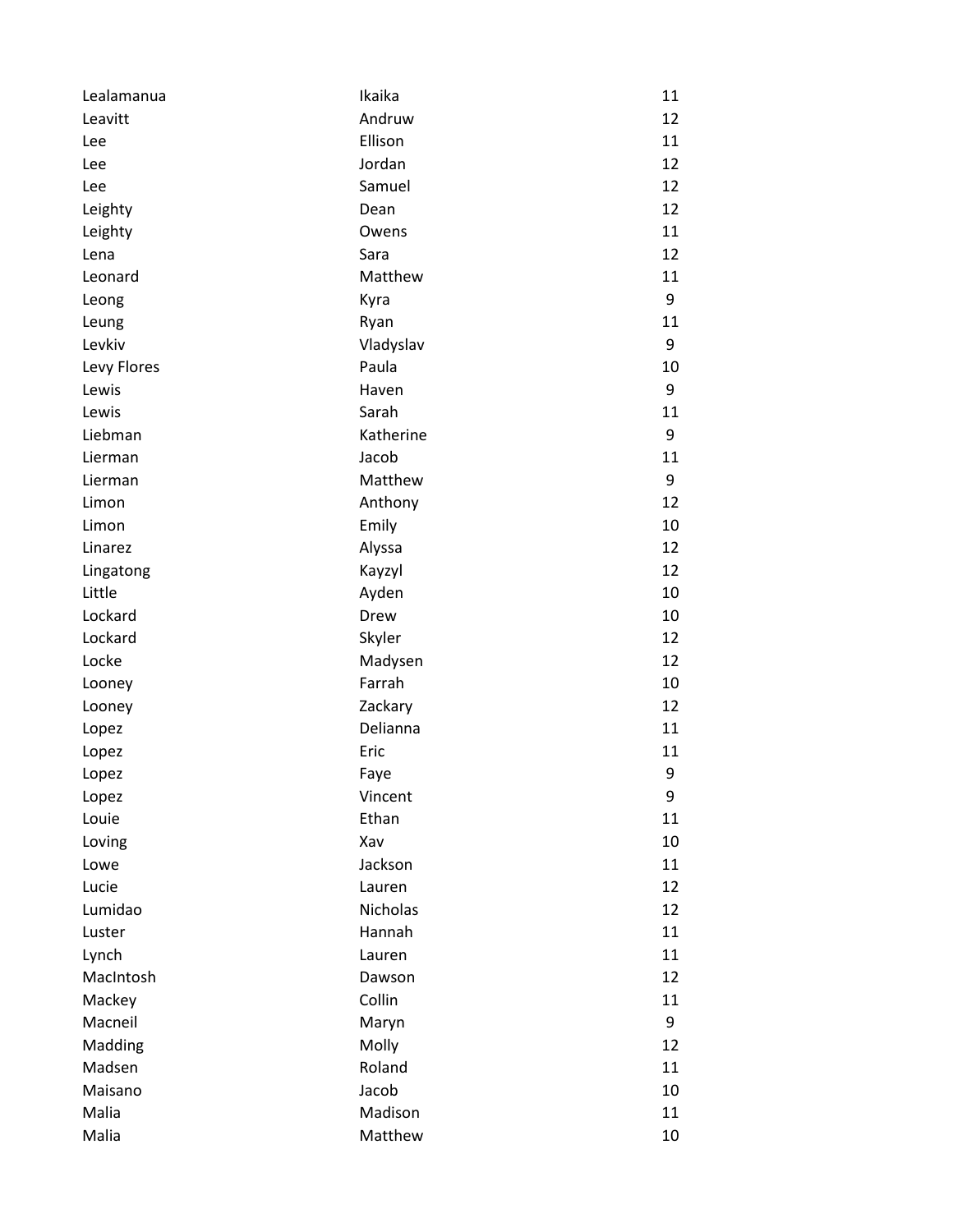| Lealamanua  | Ikaika    | 11 |
|-------------|-----------|----|
| Leavitt     | Andruw    | 12 |
| Lee         | Ellison   | 11 |
| Lee         | Jordan    | 12 |
| Lee         | Samuel    | 12 |
| Leighty     | Dean      | 12 |
| Leighty     | Owens     | 11 |
| Lena        | Sara      | 12 |
| Leonard     | Matthew   | 11 |
| Leong       | Kyra      | 9  |
| Leung       | Ryan      | 11 |
| Levkiv      | Vladyslav | 9  |
| Levy Flores | Paula     | 10 |
| Lewis       | Haven     | 9  |
| Lewis       | Sarah     | 11 |
| Liebman     | Katherine | 9  |
| Lierman     | Jacob     | 11 |
| Lierman     | Matthew   | 9  |
| Limon       | Anthony   | 12 |
| Limon       | Emily     | 10 |
| Linarez     | Alyssa    | 12 |
| Lingatong   | Kayzyl    | 12 |
| Little      | Ayden     | 10 |
| Lockard     | Drew      | 10 |
| Lockard     | Skyler    | 12 |
| Locke       | Madysen   | 12 |
| Looney      | Farrah    | 10 |
| Looney      | Zackary   | 12 |
| Lopez       | Delianna  | 11 |
| Lopez       | Eric      | 11 |
| Lopez       | Faye      | 9  |
| Lopez       | Vincent   | 9  |
| Louie       | Ethan     | 11 |
| Loving      | Xav       | 10 |
| Lowe        | Jackson   | 11 |
| Lucie       | Lauren    | 12 |
| Lumidao     | Nicholas  | 12 |
| Luster      | Hannah    | 11 |
| Lynch       | Lauren    | 11 |
| MacIntosh   | Dawson    | 12 |
| Mackey      | Collin    | 11 |
| Macneil     | Maryn     | 9  |
| Madding     | Molly     | 12 |
| Madsen      | Roland    | 11 |
| Maisano     | Jacob     | 10 |
| Malia       | Madison   | 11 |
| Malia       | Matthew   | 10 |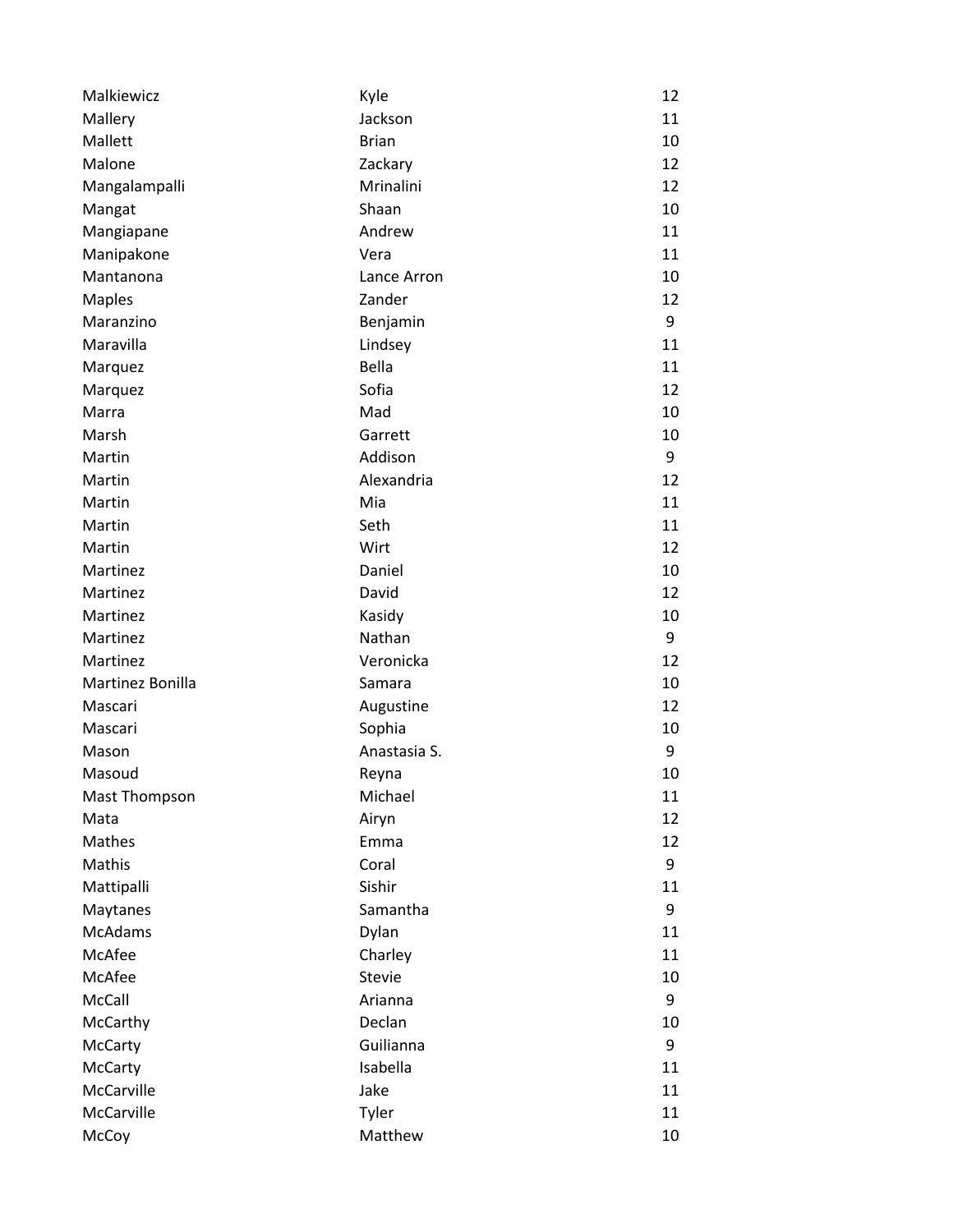| Malkiewicz           | Kyle          | 12 |
|----------------------|---------------|----|
| Mallery              | Jackson       | 11 |
| Mallett              | <b>Brian</b>  | 10 |
| Malone               | Zackary       | 12 |
| Mangalampalli        | Mrinalini     | 12 |
| Mangat               | Shaan         | 10 |
| Mangiapane           | Andrew        | 11 |
| Manipakone           | Vera          | 11 |
| Mantanona            | Lance Arron   | 10 |
| <b>Maples</b>        | Zander        | 12 |
| Maranzino            | Benjamin      | 9  |
| Maravilla            | Lindsey       | 11 |
| Marquez              | Bella         | 11 |
| Marquez              | Sofia         | 12 |
| Marra                | Mad           | 10 |
| Marsh                | Garrett       | 10 |
| Martin               | Addison       | 9  |
| Martin               | Alexandria    | 12 |
| Martin               | Mia           | 11 |
| Martin               | Seth          | 11 |
| Martin               | Wirt          | 12 |
| Martinez             | Daniel        | 10 |
| Martinez             | David         | 12 |
| Martinez             | Kasidy        | 10 |
| Martinez             | Nathan        | 9  |
| Martinez             | Veronicka     | 12 |
| Martinez Bonilla     | Samara        | 10 |
| Mascari              | Augustine     | 12 |
| Mascari              | Sophia        | 10 |
| Mason                | Anastasia S.  | 9  |
| Masoud               | Reyna         | 10 |
| <b>Mast Thompson</b> | Michael       | 11 |
| Mata                 | Airyn         | 12 |
| Mathes               | Emma          | 12 |
| Mathis               | Coral         | 9  |
| Mattipalli           | Sishir        | 11 |
| Maytanes             | Samantha      | 9  |
| <b>McAdams</b>       | Dylan         | 11 |
| McAfee               | Charley       | 11 |
| McAfee               | <b>Stevie</b> | 10 |
| McCall               | Arianna       | 9  |
| McCarthy             | Declan        | 10 |
| McCarty              | Guilianna     | 9  |
| McCarty              | Isabella      | 11 |
| McCarville           | Jake          | 11 |
| McCarville           | Tyler         | 11 |
| McCoy                | Matthew       | 10 |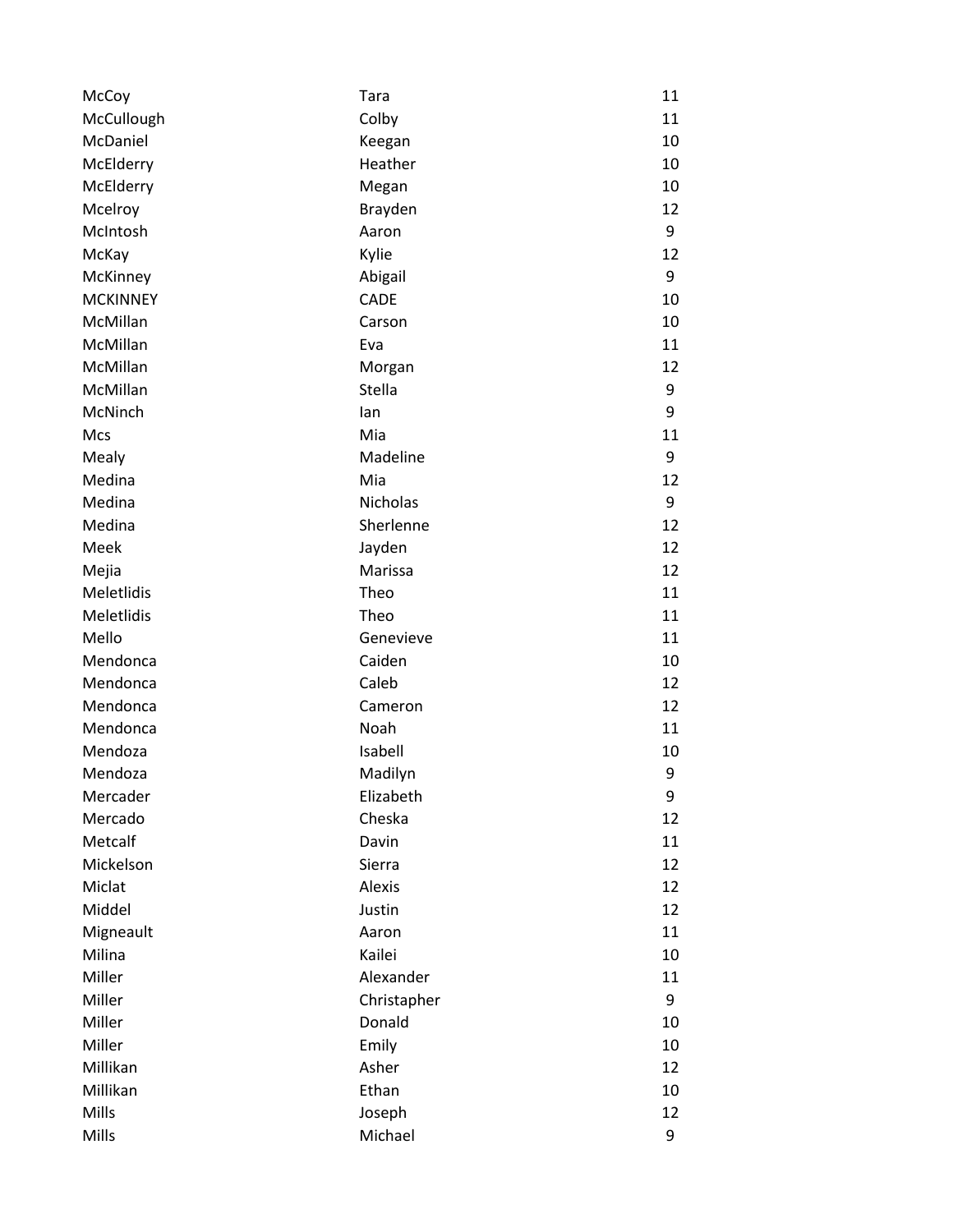| McCoy           | Tara            | 11 |
|-----------------|-----------------|----|
| McCullough      | Colby           | 11 |
| McDaniel        | Keegan          | 10 |
| McElderry       | Heather         | 10 |
| McElderry       | Megan           | 10 |
| Mcelroy         | <b>Brayden</b>  | 12 |
| McIntosh        | Aaron           | 9  |
| McKay           | Kylie           | 12 |
| McKinney        | Abigail         | 9  |
| <b>MCKINNEY</b> | <b>CADE</b>     | 10 |
| McMillan        | Carson          | 10 |
| McMillan        | Eva             | 11 |
| McMillan        | Morgan          | 12 |
| McMillan        | Stella          | 9  |
| McNinch         | lan             | 9  |
| Mcs             | Mia             | 11 |
| Mealy           | Madeline        | 9  |
| Medina          | Mia             | 12 |
| Medina          | <b>Nicholas</b> | 9  |
| Medina          | Sherlenne       | 12 |
| Meek            | Jayden          | 12 |
| Mejia           | Marissa         | 12 |
| Meletlidis      | Theo            | 11 |
| Meletlidis      | Theo            | 11 |
| Mello           | Genevieve       | 11 |
| Mendonca        | Caiden          | 10 |
| Mendonca        | Caleb           | 12 |
| Mendonca        | Cameron         | 12 |
| Mendonca        | Noah            | 11 |
| Mendoza         | Isabell         | 10 |
| Mendoza         | Madilyn         | 9  |
| Mercader        | Elizabeth       | 9  |
| Mercado         | Cheska          | 12 |
| Metcalf         | Davin           | 11 |
| Mickelson       | Sierra          | 12 |
| Miclat          | <b>Alexis</b>   | 12 |
| Middel          | Justin          | 12 |
| Migneault       | Aaron           | 11 |
| Milina          | Kailei          | 10 |
| Miller          | Alexander       | 11 |
| Miller          | Christapher     | 9  |
| Miller          | Donald          | 10 |
| Miller          | Emily           | 10 |
| Millikan        | Asher           | 12 |
| Millikan        | Ethan           | 10 |
| Mills           | Joseph          | 12 |
| Mills           | Michael         | 9  |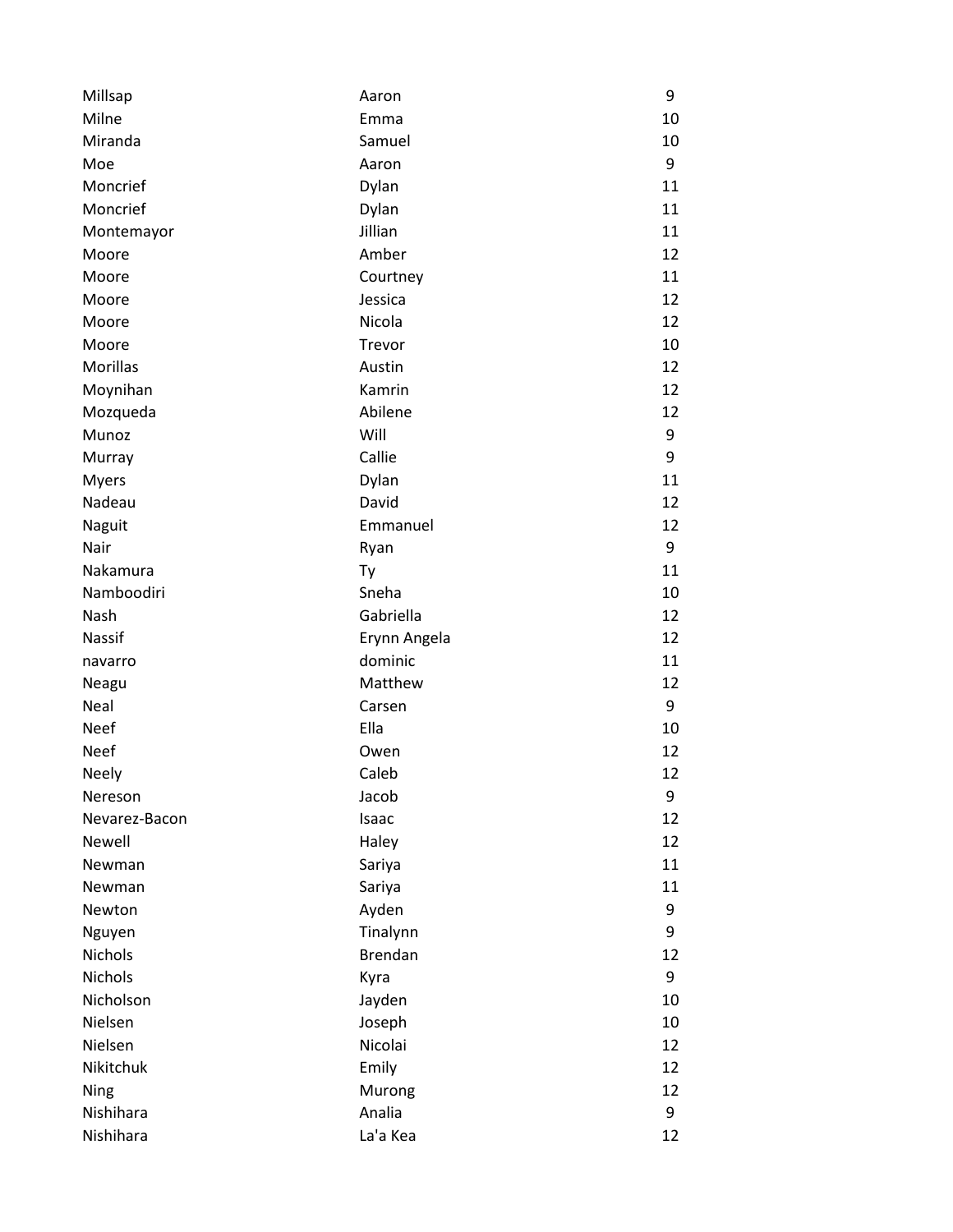| Millsap        | Aaron          | 9  |
|----------------|----------------|----|
| Milne          | Emma           | 10 |
| Miranda        | Samuel         | 10 |
| Moe            | Aaron          | 9  |
| Moncrief       | Dylan          | 11 |
| Moncrief       | Dylan          | 11 |
| Montemayor     | Jillian        | 11 |
| Moore          | Amber          | 12 |
| Moore          | Courtney       | 11 |
| Moore          | Jessica        | 12 |
| Moore          | Nicola         | 12 |
| Moore          | Trevor         | 10 |
| Morillas       | Austin         | 12 |
| Moynihan       | Kamrin         | 12 |
| Mozqueda       | Abilene        | 12 |
| Munoz          | Will           | 9  |
| Murray         | Callie         | 9  |
| <b>Myers</b>   | Dylan          | 11 |
| Nadeau         | David          | 12 |
| Naguit         | Emmanuel       | 12 |
| Nair           | Ryan           | 9  |
| Nakamura       | Ty             | 11 |
| Namboodiri     | Sneha          | 10 |
| Nash           | Gabriella      | 12 |
| Nassif         | Erynn Angela   | 12 |
| navarro        | dominic        | 11 |
| Neagu          | Matthew        | 12 |
| Neal           | Carsen         | 9  |
| <b>Neef</b>    | Ella           | 10 |
| <b>Neef</b>    | Owen           | 12 |
| Neely          | Caleb          | 12 |
| Nereson        | Jacob          | 9  |
| Nevarez-Bacon  | Isaac          | 12 |
| Newell         | Haley          | 12 |
| Newman         | Sariya         | 11 |
| Newman         | Sariya         | 11 |
| Newton         | Ayden          | 9  |
| Nguyen         | Tinalynn       | 9  |
| Nichols        | <b>Brendan</b> | 12 |
| <b>Nichols</b> | Kyra           | 9  |
| Nicholson      | Jayden         | 10 |
| Nielsen        | Joseph         | 10 |
| Nielsen        | Nicolai        | 12 |
| Nikitchuk      | Emily          | 12 |
| Ning           | Murong         | 12 |
| Nishihara      | Analia         | 9  |
| Nishihara      | La'a Kea       | 12 |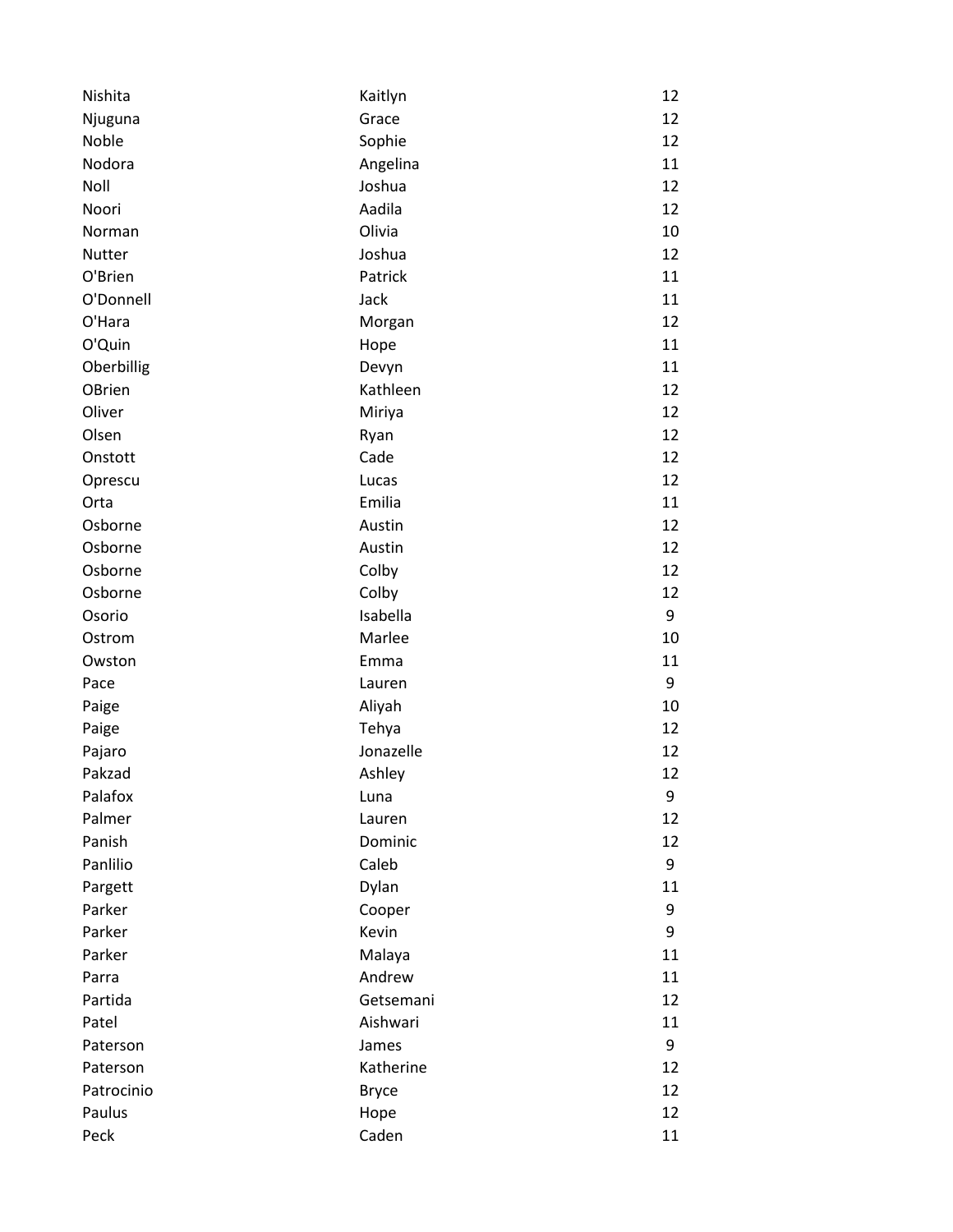| Nishita    | Kaitlyn      | 12 |
|------------|--------------|----|
| Njuguna    | Grace        | 12 |
| Noble      | Sophie       | 12 |
| Nodora     | Angelina     | 11 |
| Noll       | Joshua       | 12 |
| Noori      | Aadila       | 12 |
| Norman     | Olivia       | 10 |
| Nutter     | Joshua       | 12 |
| O'Brien    | Patrick      | 11 |
| O'Donnell  | Jack         | 11 |
| O'Hara     | Morgan       | 12 |
| O'Quin     | Hope         | 11 |
| Oberbillig | Devyn        | 11 |
| OBrien     | Kathleen     | 12 |
| Oliver     | Miriya       | 12 |
| Olsen      | Ryan         | 12 |
| Onstott    | Cade         | 12 |
| Oprescu    | Lucas        | 12 |
| Orta       | Emilia       | 11 |
| Osborne    | Austin       | 12 |
| Osborne    | Austin       | 12 |
| Osborne    | Colby        | 12 |
| Osborne    | Colby        | 12 |
| Osorio     | Isabella     | 9  |
| Ostrom     | Marlee       | 10 |
| Owston     | Emma         | 11 |
| Pace       | Lauren       | 9  |
| Paige      | Aliyah       | 10 |
| Paige      | Tehya        | 12 |
| Pajaro     | Jonazelle    | 12 |
| Pakzad     | Ashley       | 12 |
| Palafox    | Luna         | 9  |
| Palmer     | Lauren       | 12 |
| Panish     | Dominic      | 12 |
| Panlilio   | Caleb        | 9  |
| Pargett    | Dylan        | 11 |
| Parker     | Cooper       | 9  |
| Parker     | Kevin        | 9  |
| Parker     | Malaya       | 11 |
| Parra      | Andrew       | 11 |
| Partida    | Getsemani    | 12 |
| Patel      | Aishwari     | 11 |
| Paterson   | James        | 9  |
| Paterson   | Katherine    | 12 |
| Patrocinio | <b>Bryce</b> | 12 |
| Paulus     | Hope         | 12 |
| Peck       | Caden        | 11 |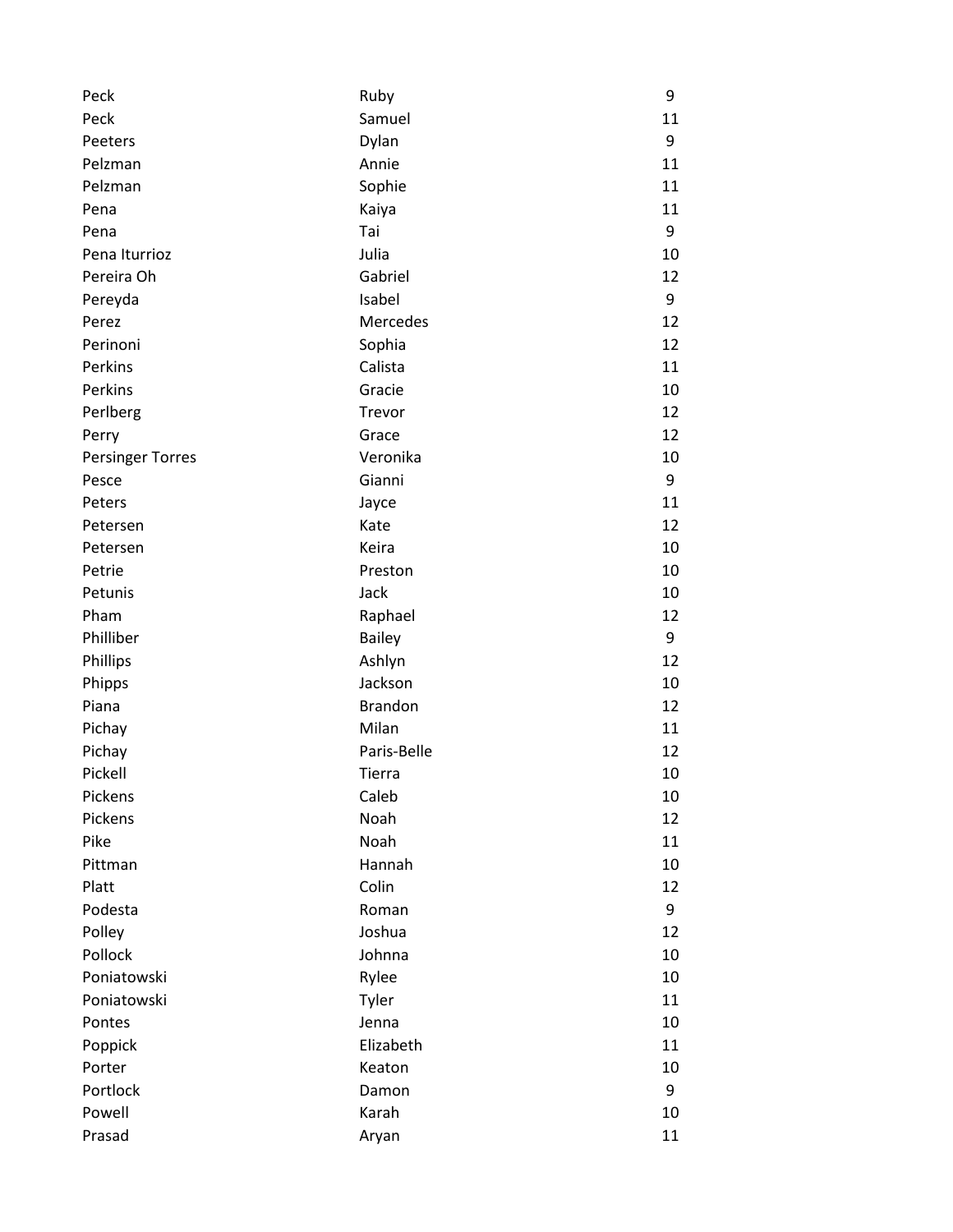| Peck                    | Ruby           | 9  |
|-------------------------|----------------|----|
| Peck                    | Samuel         | 11 |
| Peeters                 | Dylan          | 9  |
| Pelzman                 | Annie          | 11 |
| Pelzman                 | Sophie         | 11 |
| Pena                    | Kaiya          | 11 |
| Pena                    | Tai            | 9  |
| Pena Iturrioz           | Julia          | 10 |
| Pereira Oh              | Gabriel        | 12 |
| Pereyda                 | Isabel         | 9  |
| Perez                   | Mercedes       | 12 |
| Perinoni                | Sophia         | 12 |
| Perkins                 | Calista        | 11 |
| Perkins                 | Gracie         | 10 |
| Perlberg                | Trevor         | 12 |
| Perry                   | Grace          | 12 |
| <b>Persinger Torres</b> | Veronika       | 10 |
| Pesce                   | Gianni         | 9  |
| Peters                  | Jayce          | 11 |
| Petersen                | Kate           | 12 |
| Petersen                | Keira          | 10 |
| Petrie                  | Preston        | 10 |
| Petunis                 | Jack           | 10 |
| Pham                    | Raphael        | 12 |
| Philliber               | <b>Bailey</b>  | 9  |
| Phillips                | Ashlyn         | 12 |
| Phipps                  | Jackson        | 10 |
| Piana                   | <b>Brandon</b> | 12 |
| Pichay                  | Milan          | 11 |
| Pichay                  | Paris-Belle    | 12 |
| Pickell                 | <b>Tierra</b>  | 10 |
| Pickens                 | Caleb          | 10 |
| Pickens                 | Noah           | 12 |
| Pike                    | Noah           | 11 |
| Pittman                 | Hannah         | 10 |
| Platt                   | Colin          | 12 |
| Podesta                 | Roman          | 9  |
| Polley                  | Joshua         | 12 |
| Pollock                 | Johnna         | 10 |
| Poniatowski             | Rylee          | 10 |
| Poniatowski             | Tyler          | 11 |
| Pontes                  | Jenna          | 10 |
| Poppick                 | Elizabeth      | 11 |
| Porter                  | Keaton         | 10 |
| Portlock                | Damon          | 9  |
| Powell                  | Karah          | 10 |
| Prasad                  | Aryan          | 11 |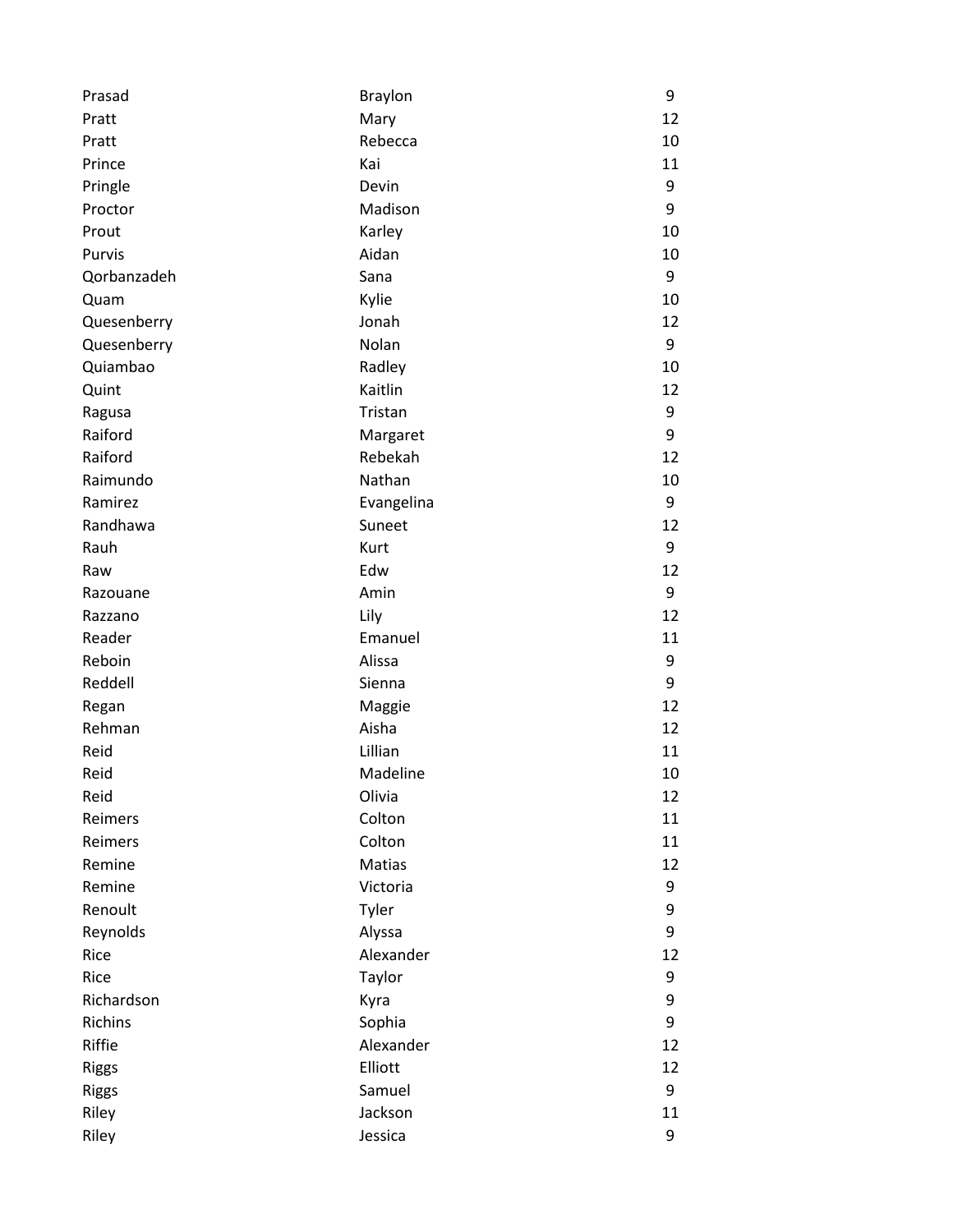| Prasad       | <b>Braylon</b> | 9  |
|--------------|----------------|----|
| Pratt        | Mary           | 12 |
| Pratt        | Rebecca        | 10 |
| Prince       | Kai            | 11 |
| Pringle      | Devin          | 9  |
| Proctor      | Madison        | 9  |
| Prout        | Karley         | 10 |
| Purvis       | Aidan          | 10 |
| Qorbanzadeh  | Sana           | 9  |
| Quam         | Kylie          | 10 |
| Quesenberry  | Jonah          | 12 |
| Quesenberry  | Nolan          | 9  |
| Quiambao     | Radley         | 10 |
| Quint        | Kaitlin        | 12 |
| Ragusa       | Tristan        | 9  |
| Raiford      | Margaret       | 9  |
| Raiford      | Rebekah        | 12 |
| Raimundo     | Nathan         | 10 |
| Ramirez      | Evangelina     | 9  |
| Randhawa     | Suneet         | 12 |
| Rauh         | Kurt           | 9  |
| Raw          | Edw            | 12 |
| Razouane     | Amin           | 9  |
| Razzano      | Lily           | 12 |
| Reader       | Emanuel        | 11 |
| Reboin       | Alissa         | 9  |
| Reddell      | Sienna         | 9  |
| Regan        | Maggie         | 12 |
| Rehman       | Aisha          | 12 |
| Reid         | Lillian        | 11 |
| Reid         | Madeline       | 10 |
| Reid         | Olivia         | 12 |
| Reimers      | Colton         | 11 |
| Reimers      | Colton         | 11 |
| Remine       | Matias         | 12 |
| Remine       | Victoria       | 9  |
| Renoult      | Tyler          | 9  |
| Reynolds     | Alyssa         | 9  |
| Rice         | Alexander      | 12 |
| Rice         | Taylor         | 9  |
| Richardson   | Kyra           | 9  |
| Richins      | Sophia         | 9  |
| Riffie       | Alexander      | 12 |
| <b>Riggs</b> | Elliott        | 12 |
| <b>Riggs</b> | Samuel         | 9  |
| Riley        | Jackson        | 11 |
| Riley        | Jessica        | 9  |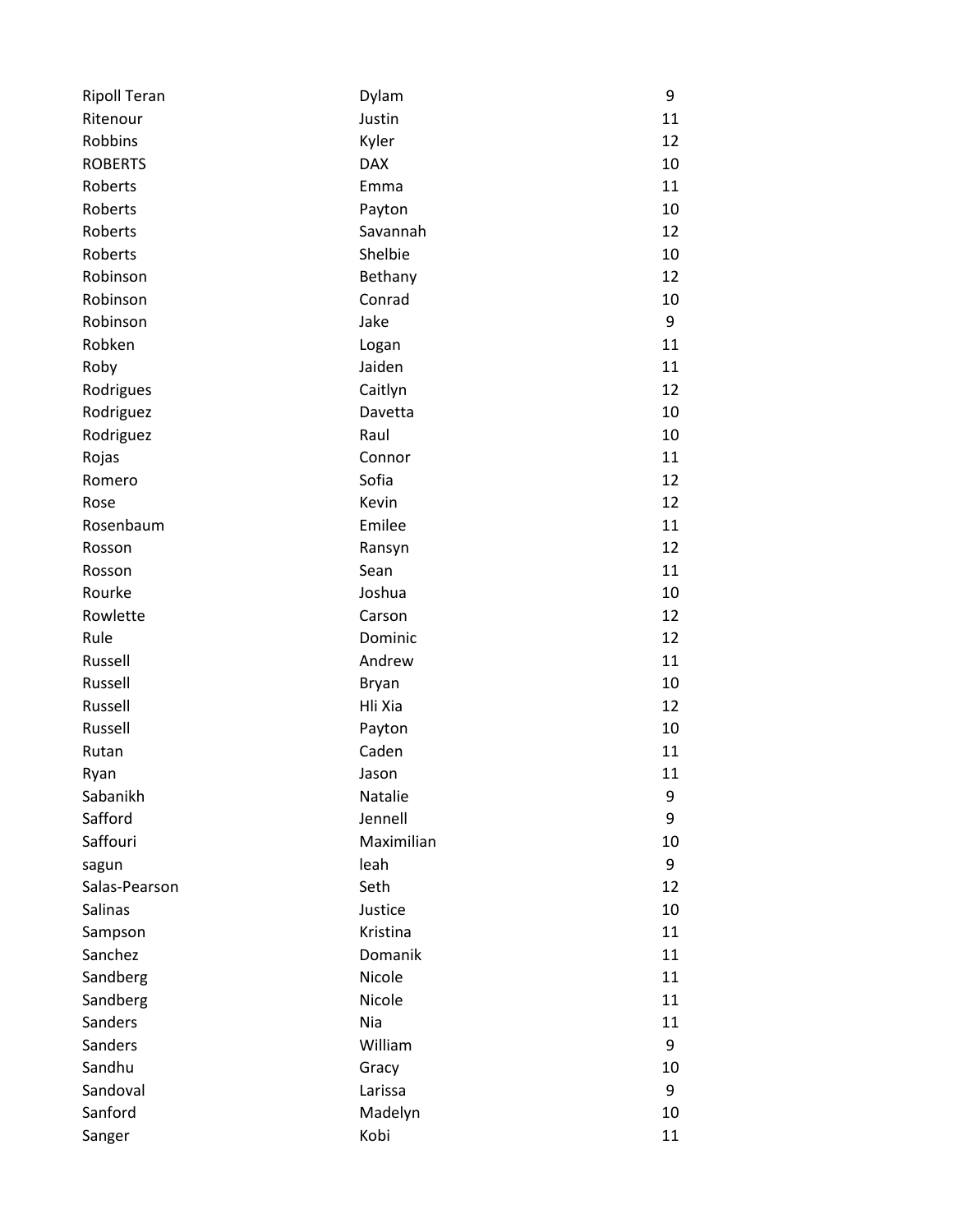| <b>Ripoll Teran</b> | Dylam        | 9  |
|---------------------|--------------|----|
| Ritenour            | Justin       | 11 |
| Robbins             | Kyler        | 12 |
| <b>ROBERTS</b>      | <b>DAX</b>   | 10 |
| Roberts             | Emma         | 11 |
| Roberts             | Payton       | 10 |
| Roberts             | Savannah     | 12 |
| Roberts             | Shelbie      | 10 |
| Robinson            | Bethany      | 12 |
| Robinson            | Conrad       | 10 |
| Robinson            | Jake         | 9  |
| Robken              | Logan        | 11 |
| Roby                | Jaiden       | 11 |
| Rodrigues           | Caitlyn      | 12 |
| Rodriguez           | Davetta      | 10 |
| Rodriguez           | Raul         | 10 |
| Rojas               | Connor       | 11 |
| Romero              | Sofia        | 12 |
| Rose                | Kevin        | 12 |
| Rosenbaum           | Emilee       | 11 |
| Rosson              | Ransyn       | 12 |
| Rosson              | Sean         | 11 |
| Rourke              | Joshua       | 10 |
| Rowlette            | Carson       | 12 |
| Rule                | Dominic      | 12 |
| Russell             | Andrew       | 11 |
| Russell             | <b>Bryan</b> | 10 |
| Russell             | Hli Xia      | 12 |
| Russell             | Payton       | 10 |
| Rutan               | Caden        | 11 |
| Ryan                | Jason        | 11 |
| Sabanikh            | Natalie      | 9  |
| Safford             | Jennell      | 9  |
| Saffouri            | Maximilian   | 10 |
| sagun               | leah         | 9  |
| Salas-Pearson       | Seth         | 12 |
| Salinas             | Justice      | 10 |
| Sampson             | Kristina     | 11 |
| Sanchez             | Domanik      | 11 |
| Sandberg            | Nicole       | 11 |
| Sandberg            | Nicole       | 11 |
| Sanders             | Nia          | 11 |
| Sanders             | William      | 9  |
| Sandhu              | Gracy        | 10 |
| Sandoval            | Larissa      | 9  |
| Sanford             | Madelyn      | 10 |
| Sanger              | Kobi         | 11 |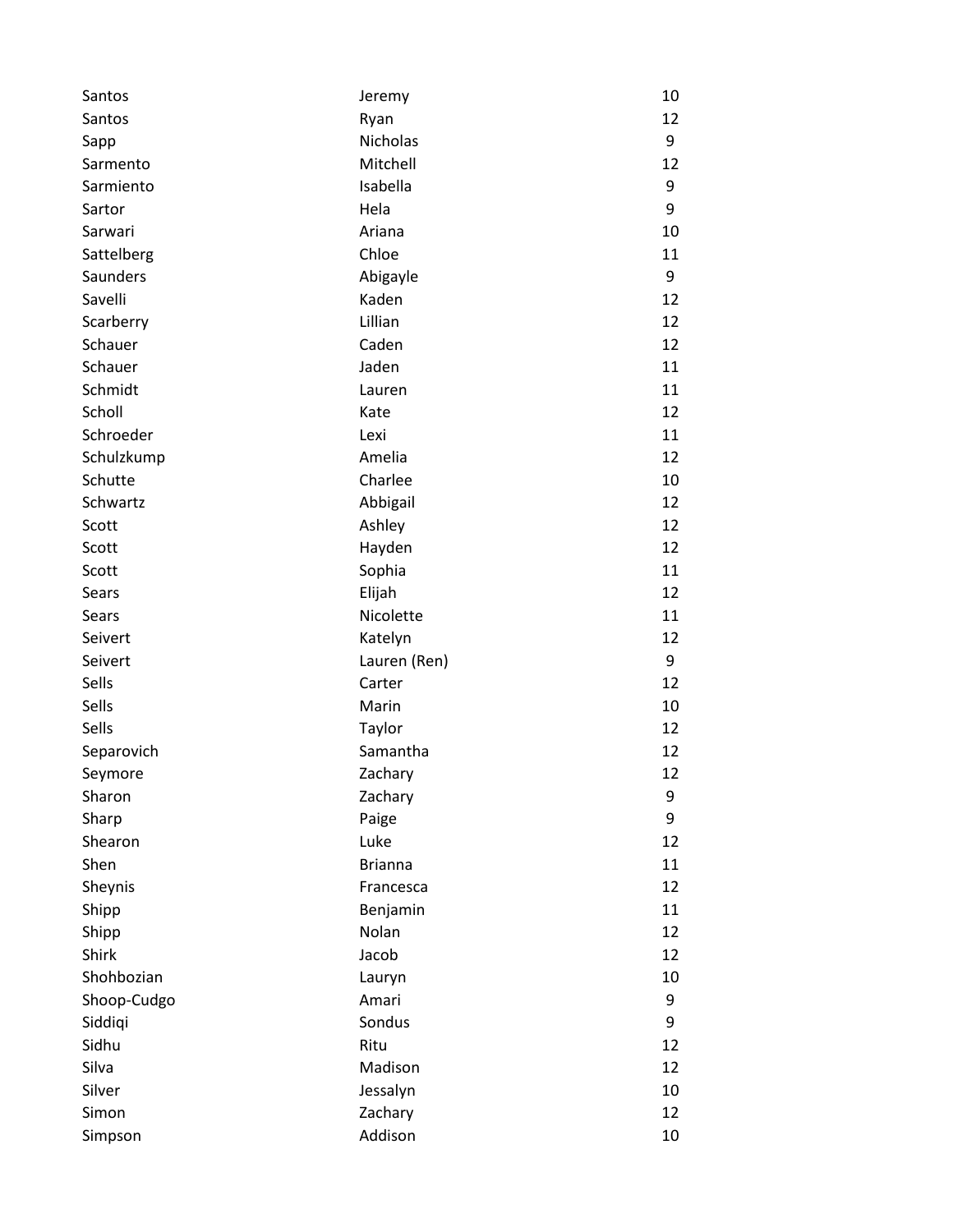| Santos      | Jeremy         | 10 |
|-------------|----------------|----|
| Santos      | Ryan           | 12 |
| Sapp        | Nicholas       | 9  |
| Sarmento    | Mitchell       | 12 |
| Sarmiento   | Isabella       | 9  |
| Sartor      | Hela           | 9  |
| Sarwari     | Ariana         | 10 |
| Sattelberg  | Chloe          | 11 |
| Saunders    | Abigayle       | 9  |
| Savelli     | Kaden          | 12 |
| Scarberry   | Lillian        | 12 |
| Schauer     | Caden          | 12 |
| Schauer     | Jaden          | 11 |
| Schmidt     | Lauren         | 11 |
| Scholl      | Kate           | 12 |
| Schroeder   | Lexi           | 11 |
| Schulzkump  | Amelia         | 12 |
| Schutte     | Charlee        | 10 |
| Schwartz    | Abbigail       | 12 |
| Scott       | Ashley         | 12 |
| Scott       | Hayden         | 12 |
| Scott       | Sophia         | 11 |
| Sears       | Elijah         | 12 |
| Sears       | Nicolette      | 11 |
| Seivert     | Katelyn        | 12 |
| Seivert     | Lauren (Ren)   | 9  |
| Sells       | Carter         | 12 |
| Sells       | Marin          | 10 |
| Sells       | Taylor         | 12 |
| Separovich  | Samantha       | 12 |
| Seymore     | Zachary        | 12 |
| Sharon      | Zachary        | 9  |
| Sharp       | Paige          | 9  |
| Shearon     | Luke           | 12 |
| Shen        | <b>Brianna</b> | 11 |
| Sheynis     | Francesca      | 12 |
| Shipp       | Benjamin       | 11 |
| Shipp       | Nolan          | 12 |
| Shirk       | Jacob          | 12 |
| Shohbozian  | Lauryn         | 10 |
| Shoop-Cudgo | Amari          | 9  |
| Siddiqi     | Sondus         | 9  |
| Sidhu       | Ritu           | 12 |
| Silva       | Madison        | 12 |
| Silver      | Jessalyn       | 10 |
| Simon       | Zachary        | 12 |
| Simpson     | Addison        | 10 |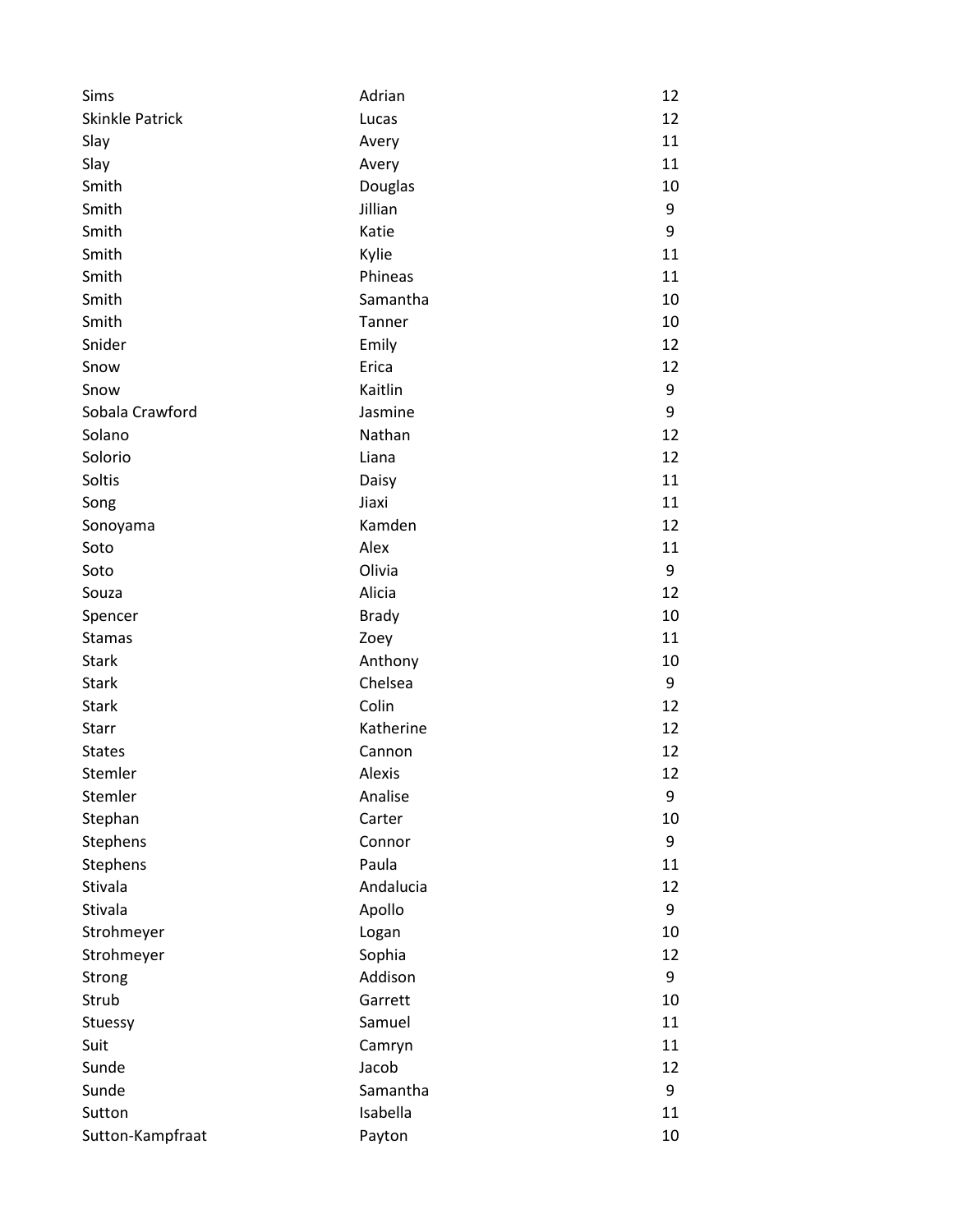| Sims                   | Adrian       | 12 |
|------------------------|--------------|----|
| <b>Skinkle Patrick</b> | Lucas        | 12 |
| Slay                   | Avery        | 11 |
| Slay                   | Avery        | 11 |
| Smith                  | Douglas      | 10 |
| Smith                  | Jillian      | 9  |
| Smith                  | Katie        | 9  |
| Smith                  | Kylie        | 11 |
| Smith                  | Phineas      | 11 |
| Smith                  | Samantha     | 10 |
| Smith                  | Tanner       | 10 |
| Snider                 | Emily        | 12 |
| Snow                   | Erica        | 12 |
| Snow                   | Kaitlin      | 9  |
| Sobala Crawford        | Jasmine      | 9  |
| Solano                 | Nathan       | 12 |
| Solorio                | Liana        | 12 |
| Soltis                 | Daisy        | 11 |
| Song                   | Jiaxi        | 11 |
| Sonoyama               | Kamden       | 12 |
| Soto                   | Alex         | 11 |
| Soto                   | Olivia       | 9  |
| Souza                  | Alicia       | 12 |
| Spencer                | <b>Brady</b> | 10 |
| <b>Stamas</b>          | Zoey         | 11 |
| <b>Stark</b>           | Anthony      | 10 |
| <b>Stark</b>           | Chelsea      | 9  |
| <b>Stark</b>           | Colin        | 12 |
| Starr                  | Katherine    | 12 |
| <b>States</b>          | Cannon       | 12 |
| Stemler                | Alexis       | 12 |
| Stemler                | Analise      | 9  |
| Stephan                | Carter       | 10 |
| Stephens               | Connor       | 9  |
| Stephens               | Paula        | 11 |
| Stivala                | Andalucia    | 12 |
| Stivala                | Apollo       | 9  |
| Strohmeyer             | Logan        | 10 |
| Strohmeyer             | Sophia       | 12 |
| Strong                 | Addison      | 9  |
| Strub                  | Garrett      | 10 |
| Stuessy                | Samuel       | 11 |
| Suit                   | Camryn       | 11 |
| Sunde                  | Jacob        | 12 |
| Sunde                  | Samantha     | 9  |
| Sutton                 | Isabella     | 11 |
| Sutton-Kampfraat       | Payton       | 10 |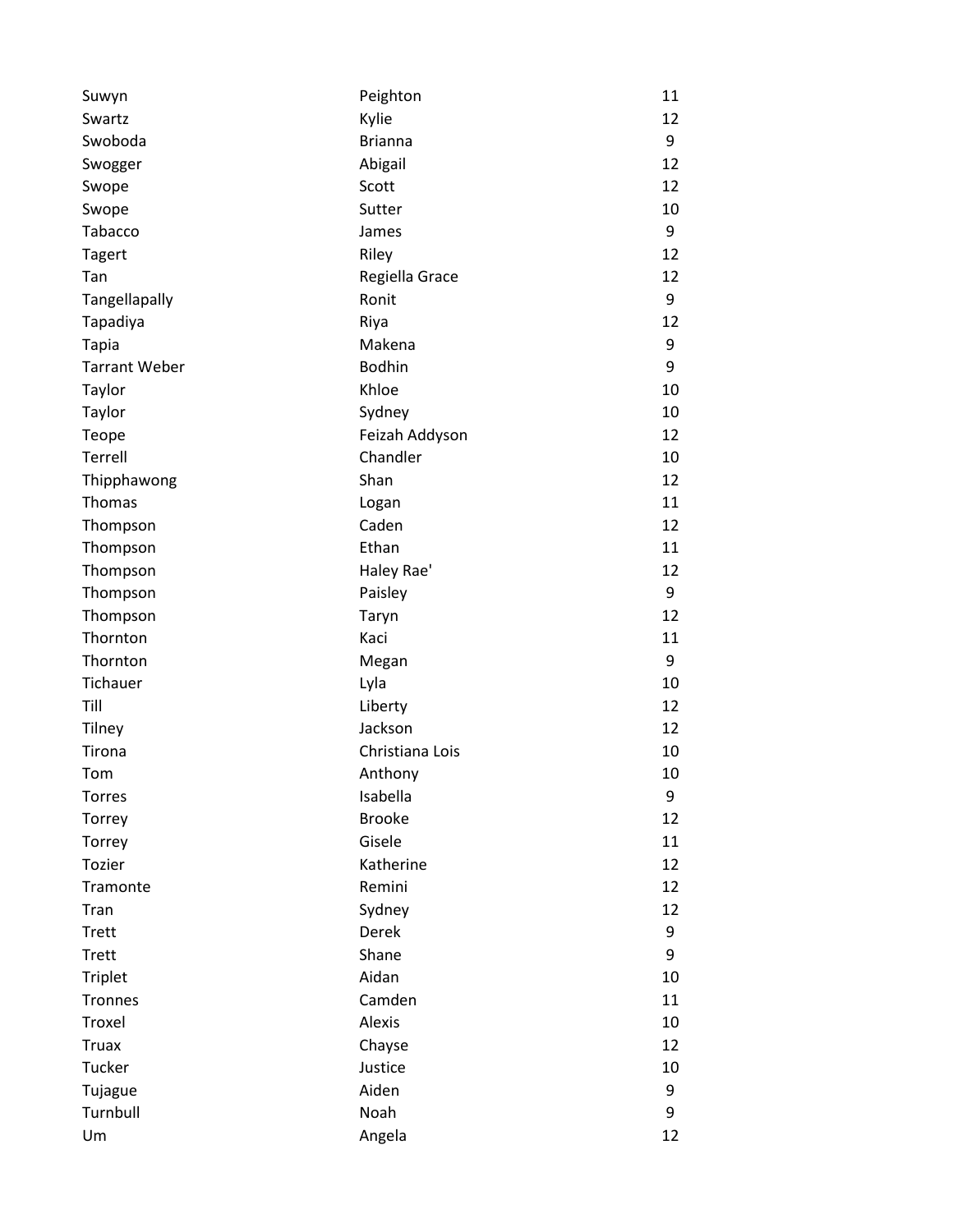| Suwyn                | Peighton        | 11 |
|----------------------|-----------------|----|
| Swartz               | Kylie           | 12 |
| Swoboda              | <b>Brianna</b>  | 9  |
| Swogger              | Abigail         | 12 |
| Swope                | Scott           | 12 |
| Swope                | Sutter          | 10 |
| Tabacco              | James           | 9  |
| <b>Tagert</b>        | Riley           | 12 |
| Tan                  | Regiella Grace  | 12 |
| Tangellapally        | Ronit           | 9  |
| Tapadiya             | Riya            | 12 |
| <b>Tapia</b>         | Makena          | 9  |
| <b>Tarrant Weber</b> | <b>Bodhin</b>   | 9  |
| Taylor               | Khloe           | 10 |
| Taylor               | Sydney          | 10 |
| Teope                | Feizah Addyson  | 12 |
| Terrell              | Chandler        | 10 |
| Thipphawong          | Shan            | 12 |
| Thomas               | Logan           | 11 |
| Thompson             | Caden           | 12 |
| Thompson             | Ethan           | 11 |
| Thompson             | Haley Rae'      | 12 |
| Thompson             | Paisley         | 9  |
| Thompson             | Taryn           | 12 |
| Thornton             | Kaci            | 11 |
| Thornton             | Megan           | 9  |
| Tichauer             | Lyla            | 10 |
| Till                 | Liberty         | 12 |
| Tilney               | Jackson         | 12 |
| Tirona               | Christiana Lois | 10 |
| Tom                  | Anthony         | 10 |
| Torres               | Isabella        | 9  |
| Torrey               | <b>Brooke</b>   | 12 |
| Torrey               | Gisele          | 11 |
| Tozier               | Katherine       | 12 |
| Tramonte             | Remini          | 12 |
| Tran                 | Sydney          | 12 |
| <b>Trett</b>         | Derek           | 9  |
| <b>Trett</b>         | Shane           | 9  |
| <b>Triplet</b>       | Aidan           | 10 |
| Tronnes              | Camden          | 11 |
| Troxel               | Alexis          | 10 |
| <b>Truax</b>         | Chayse          | 12 |
| Tucker               | Justice         | 10 |
| Tujague              | Aiden           | 9  |
| Turnbull             | Noah            | 9  |
| Um                   | Angela          | 12 |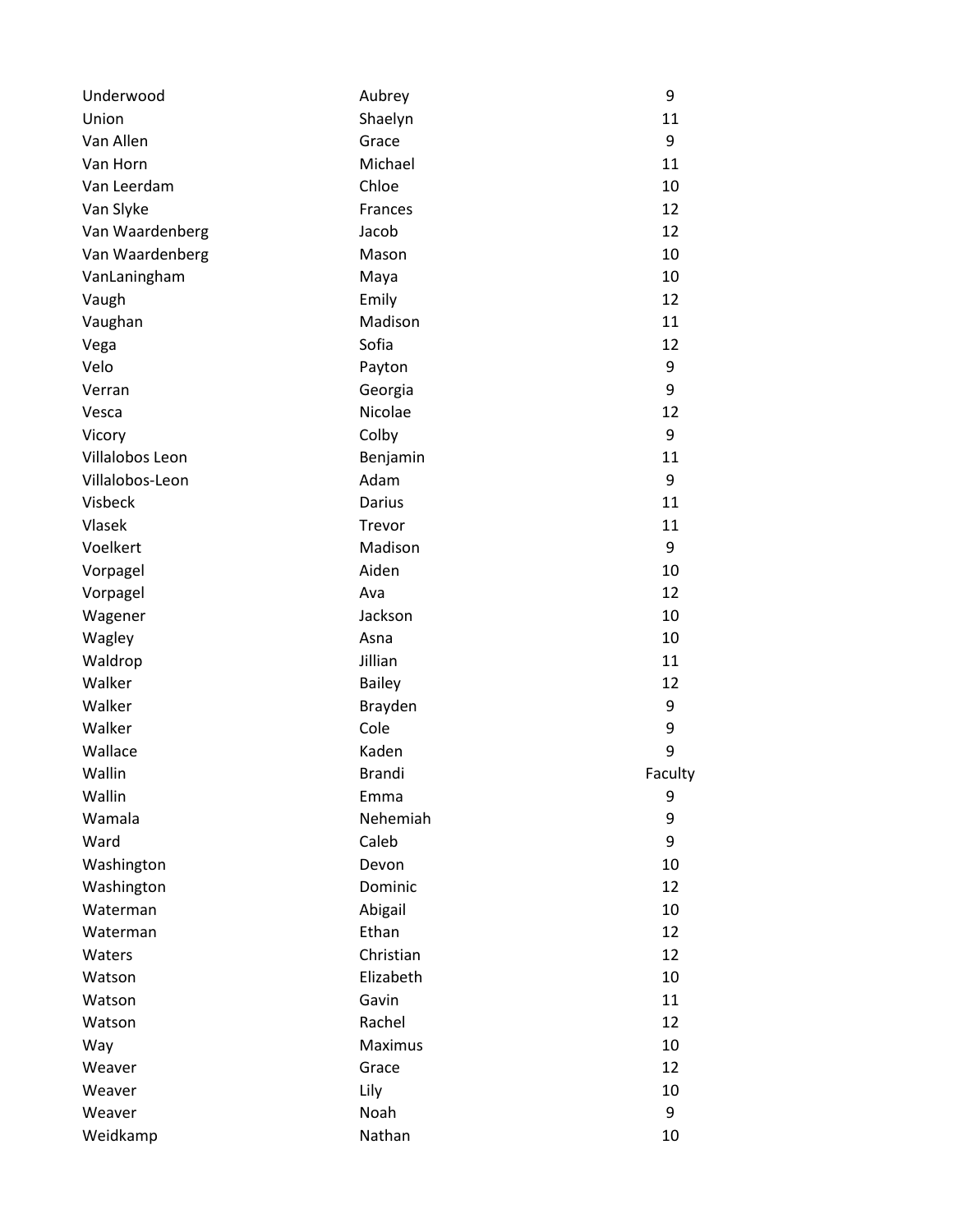| Underwood       | Aubrey        | 9       |
|-----------------|---------------|---------|
| Union           | Shaelyn       | 11      |
| Van Allen       | Grace         | 9       |
| Van Horn        | Michael       | 11      |
| Van Leerdam     | Chloe         | 10      |
| Van Slyke       | Frances       | 12      |
| Van Waardenberg | Jacob         | 12      |
| Van Waardenberg | Mason         | 10      |
| VanLaningham    | Maya          | 10      |
| Vaugh           | Emily         | 12      |
| Vaughan         | Madison       | 11      |
| Vega            | Sofia         | 12      |
| Velo            | Payton        | 9       |
| Verran          | Georgia       | 9       |
| Vesca           | Nicolae       | 12      |
| Vicory          | Colby         | 9       |
| Villalobos Leon | Benjamin      | 11      |
| Villalobos-Leon | Adam          | 9       |
| Visbeck         | <b>Darius</b> | 11      |
| Vlasek          | Trevor        | 11      |
| Voelkert        | Madison       | 9       |
| Vorpagel        | Aiden         | 10      |
| Vorpagel        | Ava           | 12      |
| Wagener         | Jackson       | 10      |
| Wagley          | Asna          | 10      |
| Waldrop         | Jillian       | 11      |
| Walker          | <b>Bailey</b> | 12      |
| Walker          | Brayden       | 9       |
| Walker          | Cole          | 9       |
| Wallace         | Kaden         | 9       |
| Wallin          | <b>Brandi</b> | Faculty |
| Wallin          | Emma          | 9       |
| Wamala          | Nehemiah      | 9       |
| Ward            | Caleb         | 9       |
| Washington      | Devon         | 10      |
| Washington      | Dominic       | 12      |
| Waterman        | Abigail       | 10      |
| Waterman        | Ethan         | 12      |
| Waters          | Christian     | 12      |
| Watson          | Elizabeth     | 10      |
| Watson          | Gavin         | 11      |
| Watson          | Rachel        | 12      |
| Way             | Maximus       | 10      |
| Weaver          | Grace         | 12      |
| Weaver          | Lily          | 10      |
| Weaver          | Noah          | 9       |
| Weidkamp        | Nathan        | 10      |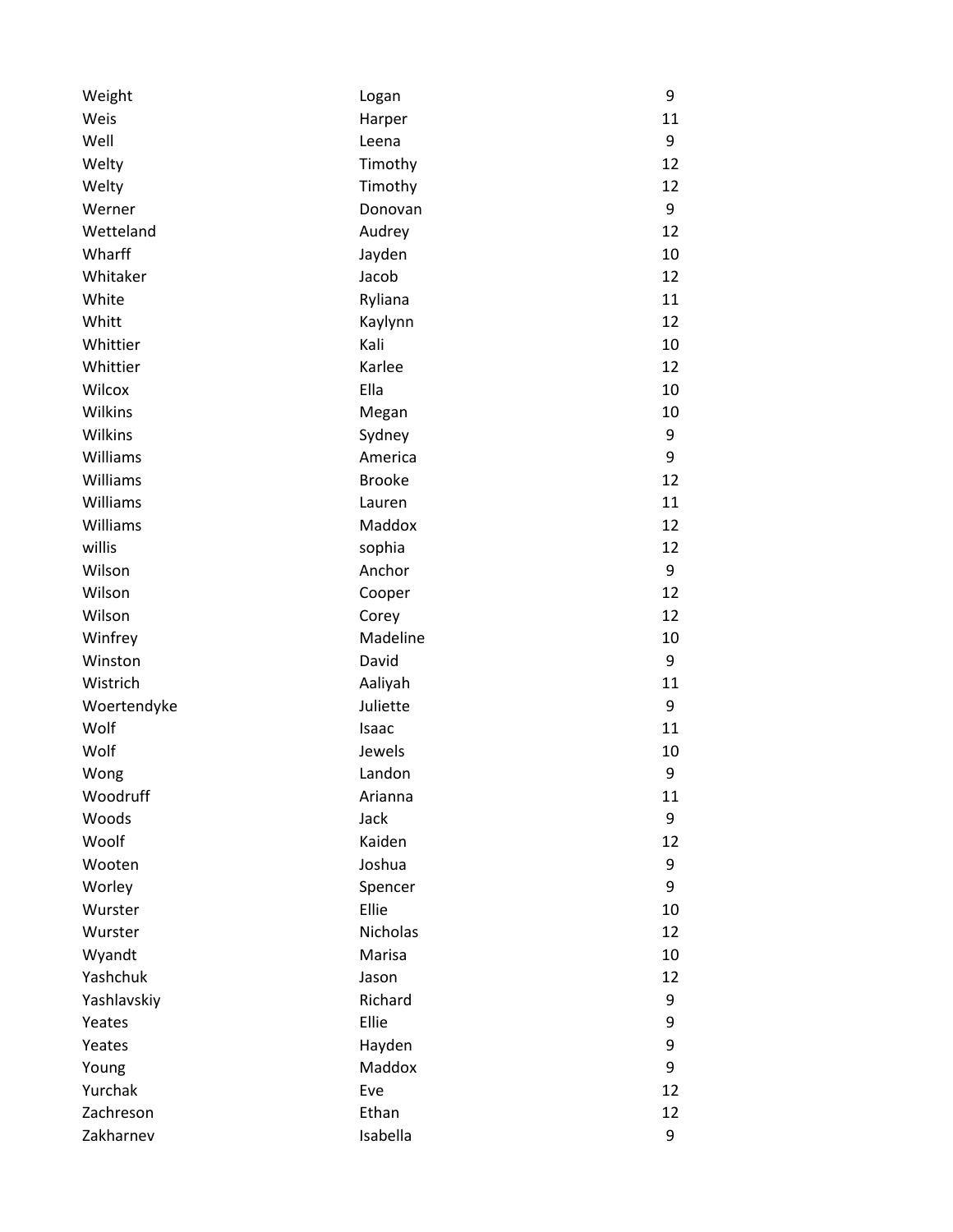| Weight      | Logan         | 9  |
|-------------|---------------|----|
| Weis        | Harper        | 11 |
| Well        | Leena         | 9  |
| Welty       | Timothy       | 12 |
| Welty       | Timothy       | 12 |
| Werner      | Donovan       | 9  |
| Wetteland   | Audrey        | 12 |
| Wharff      | Jayden        | 10 |
| Whitaker    | Jacob         | 12 |
| White       | Ryliana       | 11 |
| Whitt       | Kaylynn       | 12 |
| Whittier    | Kali          | 10 |
| Whittier    | Karlee        | 12 |
| Wilcox      | Ella          | 10 |
| Wilkins     | Megan         | 10 |
| Wilkins     | Sydney        | 9  |
| Williams    | America       | 9  |
| Williams    | <b>Brooke</b> | 12 |
| Williams    | Lauren        | 11 |
| Williams    | Maddox        | 12 |
| willis      | sophia        | 12 |
| Wilson      | Anchor        | 9  |
| Wilson      | Cooper        | 12 |
| Wilson      | Corey         | 12 |
| Winfrey     | Madeline      | 10 |
| Winston     | David         | 9  |
| Wistrich    | Aaliyah       | 11 |
| Woertendyke | Juliette      | 9  |
| Wolf        | Isaac         | 11 |
| Wolf        | Jewels        | 10 |
| Wong        | Landon        | 9  |
| Woodruff    | Arianna       | 11 |
| Woods       | Jack          | 9  |
| Woolf       | Kaiden        | 12 |
| Wooten      | Joshua        | 9  |
| Worley      | Spencer       | 9  |
| Wurster     | Ellie         | 10 |
| Wurster     | Nicholas      | 12 |
| Wyandt      | Marisa        | 10 |
| Yashchuk    | Jason         | 12 |
| Yashlavskiy | Richard       | 9  |
| Yeates      | Ellie         | 9  |
| Yeates      | Hayden        | 9  |
| Young       | Maddox        | 9  |
| Yurchak     | Eve           | 12 |
| Zachreson   | Ethan         | 12 |
| Zakharnev   | Isabella      | 9  |